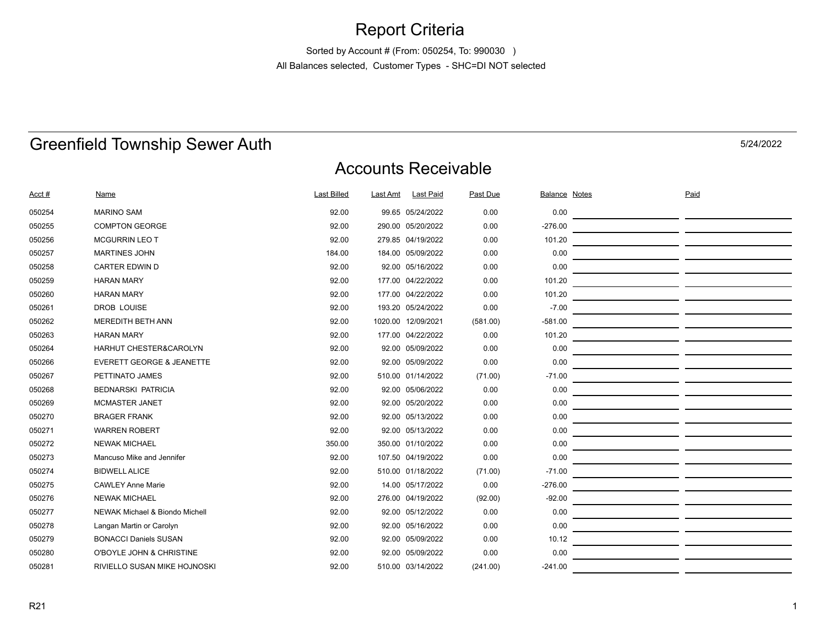### Report Criteria

Sorted by Account # (From: 050254, To: 990030 ) All Balances selected, Customer Types - SHC=DI NOT selected

## Greenfield Township Sewer Auth

Accounts Receivable

| Acct # | <u>Name</u>                          | <b>Last Billed</b> | Last Amt | Last Paid          | Past Due | <b>Balance Notes</b> | Paid |
|--------|--------------------------------------|--------------------|----------|--------------------|----------|----------------------|------|
| 050254 | <b>MARINO SAM</b>                    | 92.00              |          | 99.65 05/24/2022   | 0.00     | 0.00                 |      |
| 050255 | <b>COMPTON GEORGE</b>                | 92.00              |          | 290.00 05/20/2022  | 0.00     | $-276.00$            |      |
| 050256 | <b>MCGURRIN LEO T</b>                | 92.00              |          | 279.85 04/19/2022  | 0.00     | 101.20               |      |
| 050257 | <b>MARTINES JOHN</b>                 | 184.00             |          | 184.00 05/09/2022  | 0.00     | 0.00                 |      |
| 050258 | <b>CARTER EDWIN D</b>                | 92.00              |          | 92.00 05/16/2022   | 0.00     | 0.00                 |      |
| 050259 | <b>HARAN MARY</b>                    | 92.00              |          | 177.00 04/22/2022  | 0.00     | 101.20               |      |
| 050260 | <b>HARAN MARY</b>                    | 92.00              |          | 177.00 04/22/2022  | 0.00     | 101.20               |      |
| 050261 | <b>DROB LOUISE</b>                   | 92.00              |          | 193.20 05/24/2022  | 0.00     | $-7.00$              |      |
| 050262 | <b>MEREDITH BETH ANN</b>             | 92.00              |          | 1020.00 12/09/2021 | (581.00) | $-581.00$            |      |
| 050263 | <b>HARAN MARY</b>                    | 92.00              |          | 177.00 04/22/2022  | 0.00     | 101.20               |      |
| 050264 | HARHUT CHESTER&CAROLYN               | 92.00              |          | 92.00 05/09/2022   | 0.00     | 0.00                 |      |
| 050266 | <b>EVERETT GEORGE &amp; JEANETTE</b> | 92.00              |          | 92.00 05/09/2022   | 0.00     | 0.00                 |      |
| 050267 | PETTINATO JAMES                      | 92.00              |          | 510.00 01/14/2022  | (71.00)  | $-71.00$             |      |
| 050268 | <b>BEDNARSKI PATRICIA</b>            | 92.00              |          | 92.00 05/06/2022   | 0.00     | 0.00                 |      |
| 050269 | <b>MCMASTER JANET</b>                | 92.00              |          | 92.00 05/20/2022   | 0.00     | 0.00                 |      |
| 050270 | <b>BRAGER FRANK</b>                  | 92.00              |          | 92.00 05/13/2022   | 0.00     | 0.00                 |      |
| 050271 | <b>WARREN ROBERT</b>                 | 92.00              |          | 92.00 05/13/2022   | 0.00     | 0.00                 |      |
| 050272 | <b>NEWAK MICHAEL</b>                 | 350.00             |          | 350.00 01/10/2022  | 0.00     | 0.00                 |      |
| 050273 | Mancuso Mike and Jennifer            | 92.00              |          | 107.50 04/19/2022  | 0.00     | 0.00                 |      |
| 050274 | <b>BIDWELL ALICE</b>                 | 92.00              |          | 510.00 01/18/2022  | (71.00)  | $-71.00$             |      |
| 050275 | <b>CAWLEY Anne Marie</b>             | 92.00              |          | 14.00 05/17/2022   | 0.00     | $-276.00$            |      |
| 050276 | <b>NEWAK MICHAEL</b>                 | 92.00              |          | 276.00 04/19/2022  | (92.00)  | $-92.00$             |      |
| 050277 | NEWAK Michael & Biondo Michell       | 92.00              |          | 92.00 05/12/2022   | 0.00     | 0.00                 |      |
| 050278 | Langan Martin or Carolyn             | 92.00              |          | 92.00 05/16/2022   | 0.00     | 0.00                 |      |
| 050279 | <b>BONACCI Daniels SUSAN</b>         | 92.00              |          | 92.00 05/09/2022   | 0.00     | 10.12                |      |
| 050280 | O'BOYLE JOHN & CHRISTINE             | 92.00              |          | 92.00 05/09/2022   | 0.00     | 0.00                 |      |
| 050281 | RIVIELLO SUSAN MIKE HOJNOSKI         | 92.00              |          | 510.00 03/14/2022  | (241.00) | $-241.00$            |      |

5/24/2022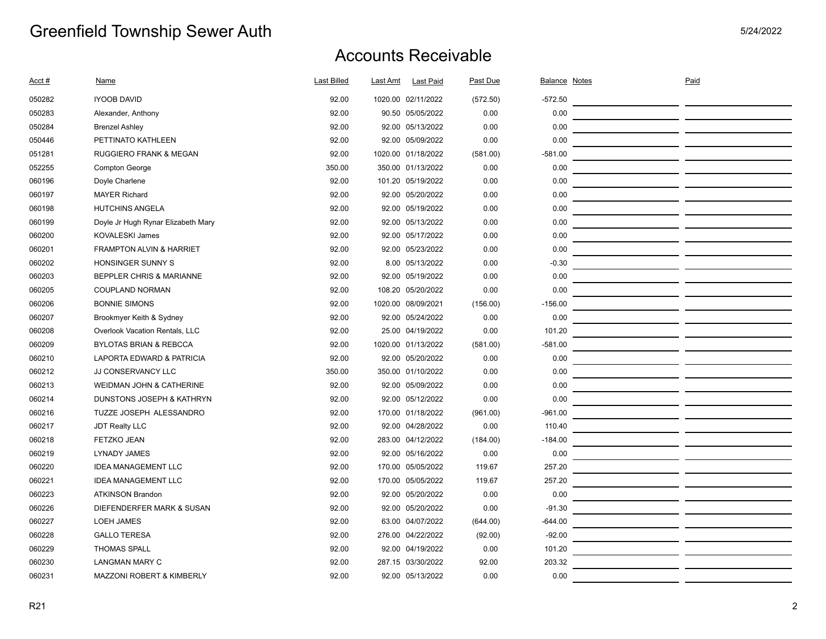| Acct # | Name                                 | <b>Last Billed</b> | Last Amt | <b>Last Paid</b>   | Past Due | <b>Balance Notes</b> | Paid |  |
|--------|--------------------------------------|--------------------|----------|--------------------|----------|----------------------|------|--|
| 050282 | <b>IYOOB DAVID</b>                   | 92.00              |          | 1020.00 02/11/2022 | (572.50) | $-572.50$            |      |  |
| 050283 | Alexander, Anthony                   | 92.00              |          | 90.50 05/05/2022   | 0.00     | 0.00                 |      |  |
| 050284 | <b>Brenzel Ashley</b>                | 92.00              |          | 92.00 05/13/2022   | 0.00     | 0.00                 |      |  |
| 050446 | PETTINATO KATHLEEN                   | 92.00              |          | 92.00 05/09/2022   | 0.00     | 0.00                 |      |  |
| 051281 | <b>RUGGIERO FRANK &amp; MEGAN</b>    | 92.00              |          | 1020.00 01/18/2022 | (581.00) | $-581.00$            |      |  |
| 052255 | <b>Compton George</b>                | 350.00             |          | 350.00 01/13/2022  | 0.00     | 0.00                 |      |  |
| 060196 | Doyle Charlene                       | 92.00              |          | 101.20 05/19/2022  | 0.00     | 0.00                 |      |  |
| 060197 | <b>MAYER Richard</b>                 | 92.00              |          | 92.00 05/20/2022   | 0.00     | 0.00                 |      |  |
| 060198 | <b>HUTCHINS ANGELA</b>               | 92.00              |          | 92.00 05/19/2022   | 0.00     | 0.00                 |      |  |
| 060199 | Doyle Jr Hugh Rynar Elizabeth Mary   | 92.00              |          | 92.00 05/13/2022   | 0.00     | 0.00                 |      |  |
| 060200 | <b>KOVALESKI James</b>               | 92.00              |          | 92.00 05/17/2022   | 0.00     | 0.00                 |      |  |
| 060201 | <b>FRAMPTON ALVIN &amp; HARRIET</b>  | 92.00              |          | 92.00 05/23/2022   | 0.00     | 0.00                 |      |  |
| 060202 | HONSINGER SUNNY S                    | 92.00              |          | 8.00 05/13/2022    | 0.00     | $-0.30$              |      |  |
| 060203 | <b>BEPPLER CHRIS &amp; MARIANNE</b>  | 92.00              |          | 92.00 05/19/2022   | 0.00     | 0.00                 |      |  |
| 060205 | COUPLAND NORMAN                      | 92.00              |          | 108.20 05/20/2022  | 0.00     | 0.00                 |      |  |
| 060206 | <b>BONNIE SIMONS</b>                 | 92.00              |          | 1020.00 08/09/2021 | (156.00) | $-156.00$            |      |  |
| 060207 | Brookmyer Keith & Sydney             | 92.00              |          | 92.00 05/24/2022   | 0.00     | 0.00                 |      |  |
| 060208 | Overlook Vacation Rentals, LLC       | 92.00              |          | 25.00 04/19/2022   | 0.00     | 101.20               |      |  |
| 060209 | <b>BYLOTAS BRIAN &amp; REBCCA</b>    | 92.00              |          | 1020.00 01/13/2022 | (581.00) | $-581.00$            |      |  |
| 060210 | LAPORTA EDWARD & PATRICIA            | 92.00              |          | 92.00 05/20/2022   | 0.00     | 0.00                 |      |  |
| 060212 | JJ CONSERVANCY LLC                   | 350.00             |          | 350.00 01/10/2022  | 0.00     | 0.00                 |      |  |
| 060213 | WEIDMAN JOHN & CATHERINE             | 92.00              |          | 92.00 05/09/2022   | 0.00     | 0.00                 |      |  |
| 060214 | DUNSTONS JOSEPH & KATHRYN            | 92.00              |          | 92.00 05/12/2022   | 0.00     | 0.00                 |      |  |
| 060216 | TUZZE JOSEPH ALESSANDRO              | 92.00              |          | 170.00 01/18/2022  | (961.00) | $-961.00$            |      |  |
| 060217 | <b>JDT Realty LLC</b>                | 92.00              |          | 92.00 04/28/2022   | 0.00     | 110.40               |      |  |
| 060218 | <b>FETZKO JEAN</b>                   | 92.00              |          | 283.00 04/12/2022  | (184.00) | $-184.00$            |      |  |
| 060219 | LYNADY JAMES                         | 92.00              |          | 92.00 05/16/2022   | 0.00     | 0.00                 |      |  |
| 060220 | <b>IDEA MANAGEMENT LLC</b>           | 92.00              |          | 170.00 05/05/2022  | 119.67   | 257.20               |      |  |
| 060221 | <b>IDEA MANAGEMENT LLC</b>           | 92.00              |          | 170.00 05/05/2022  | 119.67   | 257.20               |      |  |
| 060223 | <b>ATKINSON Brandon</b>              | 92.00              |          | 92.00 05/20/2022   | 0.00     | 0.00                 |      |  |
| 060226 | DIEFENDERFER MARK & SUSAN            | 92.00              |          | 92.00 05/20/2022   | 0.00     | $-91.30$             |      |  |
| 060227 | <b>LOEH JAMES</b>                    | 92.00              |          | 63.00 04/07/2022   | (644.00) | $-644.00$            |      |  |
| 060228 | <b>GALLO TERESA</b>                  | 92.00              |          | 276.00 04/22/2022  | (92.00)  | $-92.00$             |      |  |
| 060229 | <b>THOMAS SPALL</b>                  | 92.00              |          | 92.00 04/19/2022   | 0.00     | 101.20               |      |  |
| 060230 | <b>LANGMAN MARY C</b>                | 92.00              |          | 287.15 03/30/2022  | 92.00    | 203.32               |      |  |
| 060231 | <b>MAZZONI ROBERT &amp; KIMBERLY</b> | 92.00              |          | 92.00 05/13/2022   | 0.00     | 0.00                 |      |  |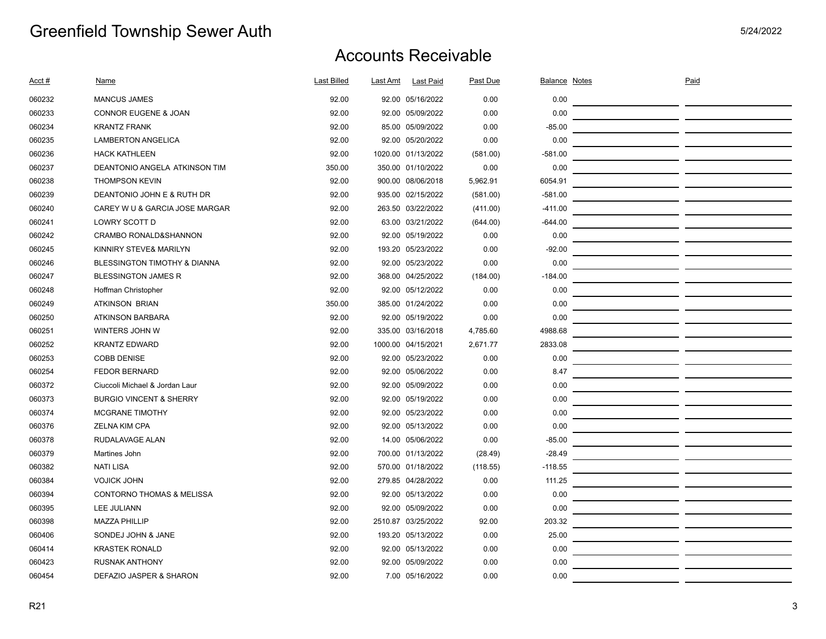| <u>Acct #</u> | Name                                 | Last Billed | Last Amt | <b>Last Paid</b>   | Past Due | <b>Balance Notes</b> | Paid |  |
|---------------|--------------------------------------|-------------|----------|--------------------|----------|----------------------|------|--|
| 060232        | <b>MANCUS JAMES</b>                  | 92.00       |          | 92.00 05/16/2022   | 0.00     | 0.00                 |      |  |
| 060233        | <b>CONNOR EUGENE &amp; JOAN</b>      | 92.00       |          | 92.00 05/09/2022   | 0.00     | 0.00                 |      |  |
| 060234        | <b>KRANTZ FRANK</b>                  | 92.00       |          | 85.00 05/09/2022   | 0.00     | $-85.00$             |      |  |
| 060235        | <b>LAMBERTON ANGELICA</b>            | 92.00       |          | 92.00 05/20/2022   | 0.00     | 0.00                 |      |  |
| 060236        | <b>HACK KATHLEEN</b>                 | 92.00       |          | 1020.00 01/13/2022 | (581.00) | $-581.00$            |      |  |
| 060237        | DEANTONIO ANGELA ATKINSON TIM        | 350.00      |          | 350.00 01/10/2022  | 0.00     | 0.00                 |      |  |
| 060238        | <b>THOMPSON KEVIN</b>                | 92.00       |          | 900.00 08/06/2018  | 5,962.91 | 6054.91              |      |  |
| 060239        | DEANTONIO JOHN E & RUTH DR           | 92.00       |          | 935.00 02/15/2022  | (581.00) | $-581.00$            |      |  |
| 060240        | CAREY W U & GARCIA JOSE MARGAR       | 92.00       |          | 263.50 03/22/2022  | (411.00) | $-411.00$            |      |  |
| 060241        | LOWRY SCOTT D                        | 92.00       |          | 63.00 03/21/2022   | (644.00) | $-644.00$            |      |  |
| 060242        | CRAMBO RONALD&SHANNON                | 92.00       |          | 92.00 05/19/2022   | 0.00     | 0.00                 |      |  |
| 060245        | KINNIRY STEVE& MARILYN               | 92.00       |          | 193.20 05/23/2022  | 0.00     | $-92.00$             |      |  |
| 060246        | BLESSINGTON TIMOTHY & DIANNA         | 92.00       |          | 92.00 05/23/2022   | 0.00     | 0.00                 |      |  |
| 060247        | <b>BLESSINGTON JAMES R</b>           | 92.00       |          | 368.00 04/25/2022  | (184.00) | $-184.00$            |      |  |
| 060248        | Hoffman Christopher                  | 92.00       |          | 92.00 05/12/2022   | 0.00     | 0.00                 |      |  |
| 060249        | <b>ATKINSON BRIAN</b>                | 350.00      |          | 385.00 01/24/2022  | 0.00     | 0.00                 |      |  |
| 060250        | <b>ATKINSON BARBARA</b>              | 92.00       |          | 92.00 05/19/2022   | 0.00     | 0.00                 |      |  |
| 060251        | WINTERS JOHN W                       | 92.00       |          | 335.00 03/16/2018  | 4,785.60 | 4988.68              |      |  |
| 060252        | <b>KRANTZ EDWARD</b>                 | 92.00       |          | 1000.00 04/15/2021 | 2,671.77 | 2833.08              |      |  |
| 060253        | <b>COBB DENISE</b>                   | 92.00       |          | 92.00 05/23/2022   | 0.00     | 0.00                 |      |  |
| 060254        | <b>FEDOR BERNARD</b>                 | 92.00       |          | 92.00 05/06/2022   | 0.00     | 8.47                 |      |  |
| 060372        | Ciuccoli Michael & Jordan Laur       | 92.00       |          | 92.00 05/09/2022   | 0.00     | 0.00                 |      |  |
| 060373        | <b>BURGIO VINCENT &amp; SHERRY</b>   | 92.00       |          | 92.00 05/19/2022   | 0.00     | 0.00                 |      |  |
| 060374        | <b>MCGRANE TIMOTHY</b>               | 92.00       |          | 92.00 05/23/2022   | 0.00     | 0.00                 |      |  |
| 060376        | <b>ZELNA KIM CPA</b>                 | 92.00       |          | 92.00 05/13/2022   | 0.00     | 0.00                 |      |  |
| 060378        | <b>RUDALAVAGE ALAN</b>               | 92.00       |          | 14.00 05/06/2022   | 0.00     | $-85.00$             |      |  |
| 060379        | Martines John                        | 92.00       |          | 700.00 01/13/2022  | (28.49)  | $-28.49$             |      |  |
| 060382        | <b>NATI LISA</b>                     | 92.00       |          | 570.00 01/18/2022  | (118.55) | $-118.55$            |      |  |
| 060384        | <b>VOJICK JOHN</b>                   | 92.00       |          | 279.85 04/28/2022  | 0.00     | 111.25               |      |  |
| 060394        | <b>CONTORNO THOMAS &amp; MELISSA</b> | 92.00       |          | 92.00 05/13/2022   | 0.00     | 0.00                 |      |  |
| 060395        | LEE JULIANN                          | 92.00       |          | 92.00 05/09/2022   | 0.00     | 0.00                 |      |  |
| 060398        | <b>MAZZA PHILLIP</b>                 | 92.00       |          | 2510.87 03/25/2022 | 92.00    | 203.32               |      |  |
| 060406        | SONDEJ JOHN & JANE                   | 92.00       |          | 193.20 05/13/2022  | 0.00     | 25.00                |      |  |
| 060414        | <b>KRASTEK RONALD</b>                | 92.00       |          | 92.00 05/13/2022   | 0.00     | 0.00                 |      |  |
| 060423        | <b>RUSNAK ANTHONY</b>                | 92.00       |          | 92.00 05/09/2022   | 0.00     | 0.00                 |      |  |
| 060454        | DEFAZIO JASPER & SHARON              | 92.00       |          | 7.00 05/16/2022    | 0.00     | 0.00                 |      |  |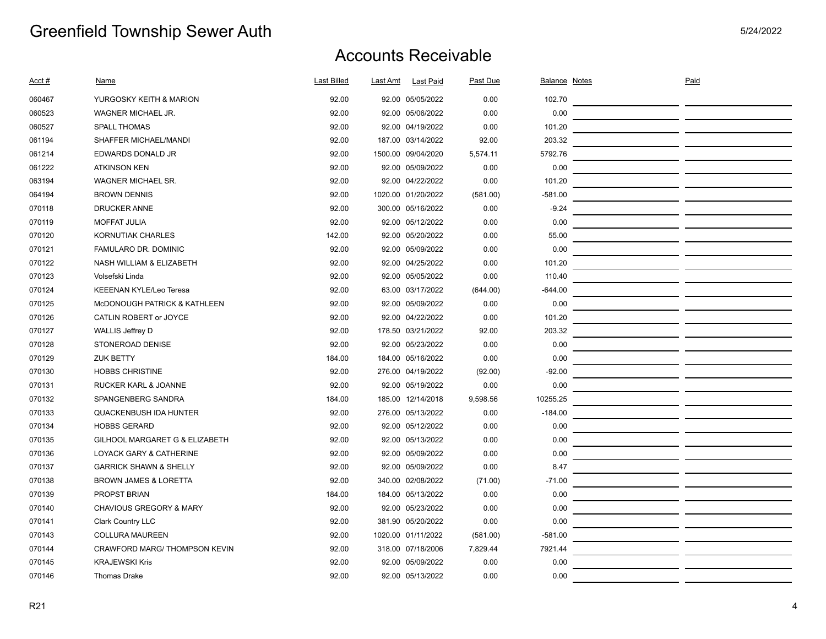| Acct # | Name                              | Last Billed | Last Amt | <b>Last Paid</b>   | Past Due | Balance Notes | Paid |  |
|--------|-----------------------------------|-------------|----------|--------------------|----------|---------------|------|--|
| 060467 | YURGOSKY KEITH & MARION           | 92.00       |          | 92.00 05/05/2022   | 0.00     | 102.70        |      |  |
| 060523 | WAGNER MICHAEL JR.                | 92.00       |          | 92.00 05/06/2022   | 0.00     | 0.00          |      |  |
| 060527 | <b>SPALL THOMAS</b>               | 92.00       |          | 92.00 04/19/2022   | 0.00     | 101.20        |      |  |
| 061194 | SHAFFER MICHAEL/MANDI             | 92.00       |          | 187.00 03/14/2022  | 92.00    | 203.32        |      |  |
| 061214 | EDWARDS DONALD JR                 | 92.00       |          | 1500.00 09/04/2020 | 5,574.11 | 5792.76       |      |  |
| 061222 | <b>ATKINSON KEN</b>               | 92.00       |          | 92.00 05/09/2022   | 0.00     | 0.00          |      |  |
| 063194 | <b>WAGNER MICHAEL SR.</b>         | 92.00       |          | 92.00 04/22/2022   | 0.00     | 101.20        |      |  |
| 064194 | <b>BROWN DENNIS</b>               | 92.00       |          | 1020.00 01/20/2022 | (581.00) | $-581.00$     |      |  |
| 070118 | <b>DRUCKER ANNE</b>               | 92.00       |          | 300.00 05/16/2022  | 0.00     | $-9.24$       |      |  |
| 070119 | <b>MOFFAT JULIA</b>               | 92.00       |          | 92.00 05/12/2022   | 0.00     | 0.00          |      |  |
| 070120 | KORNUTIAK CHARLES                 | 142.00      |          | 92.00 05/20/2022   | 0.00     | 55.00         |      |  |
| 070121 | FAMULARO DR. DOMINIC              | 92.00       |          | 92.00 05/09/2022   | 0.00     | 0.00          |      |  |
| 070122 | NASH WILLIAM & ELIZABETH          | 92.00       |          | 92.00 04/25/2022   | 0.00     | 101.20        |      |  |
| 070123 | Volsefski Linda                   | 92.00       |          | 92.00 05/05/2022   | 0.00     | 110.40        |      |  |
| 070124 | KEEENAN KYLE/Leo Teresa           | 92.00       |          | 63.00 03/17/2022   | (644.00) | $-644.00$     |      |  |
| 070125 | McDONOUGH PATRICK & KATHLEEN      | 92.00       |          | 92.00 05/09/2022   | 0.00     | 0.00          |      |  |
| 070126 | CATLIN ROBERT or JOYCE            | 92.00       |          | 92.00 04/22/2022   | 0.00     | 101.20        |      |  |
| 070127 | <b>WALLIS Jeffrey D</b>           | 92.00       |          | 178.50 03/21/2022  | 92.00    | 203.32        |      |  |
| 070128 | STONEROAD DENISE                  | 92.00       |          | 92.00 05/23/2022   | 0.00     | 0.00          |      |  |
| 070129 | <b>ZUK BETTY</b>                  | 184.00      |          | 184.00 05/16/2022  | 0.00     | 0.00          |      |  |
| 070130 | <b>HOBBS CHRISTINE</b>            | 92.00       |          | 276.00 04/19/2022  | (92.00)  | $-92.00$      |      |  |
| 070131 | RUCKER KARL & JOANNE              | 92.00       |          | 92.00 05/19/2022   | 0.00     | 0.00          |      |  |
| 070132 | SPANGENBERG SANDRA                | 184.00      |          | 185.00 12/14/2018  | 9,598.56 | 10255.25      |      |  |
| 070133 | <b>QUACKENBUSH IDA HUNTER</b>     | 92.00       |          | 276.00 05/13/2022  | 0.00     | $-184.00$     |      |  |
| 070134 | <b>HOBBS GERARD</b>               | 92.00       |          | 92.00 05/12/2022   | 0.00     | 0.00          |      |  |
| 070135 | GILHOOL MARGARET G & ELIZABETH    | 92.00       |          | 92.00 05/13/2022   | 0.00     | 0.00          |      |  |
| 070136 | LOYACK GARY & CATHERINE           | 92.00       |          | 92.00 05/09/2022   | 0.00     | 0.00          |      |  |
| 070137 | <b>GARRICK SHAWN &amp; SHELLY</b> | 92.00       |          | 92.00 05/09/2022   | 0.00     | 8.47          |      |  |
| 070138 | <b>BROWN JAMES &amp; LORETTA</b>  | 92.00       |          | 340.00 02/08/2022  | (71.00)  | $-71.00$      |      |  |
| 070139 | PROPST BRIAN                      | 184.00      |          | 184.00 05/13/2022  | 0.00     | 0.00          |      |  |
| 070140 | CHAVIOUS GREGORY & MARY           | 92.00       |          | 92.00 05/23/2022   | 0.00     | 0.00          |      |  |
| 070141 | <b>Clark Country LLC</b>          | 92.00       |          | 381.90 05/20/2022  | 0.00     | 0.00          |      |  |
| 070143 | <b>COLLURA MAUREEN</b>            | 92.00       |          | 1020.00 01/11/2022 | (581.00) | $-581.00$     |      |  |
| 070144 | CRAWFORD MARG/ THOMPSON KEVIN     | 92.00       |          | 318.00 07/18/2006  | 7,829.44 | 7921.44       |      |  |
| 070145 | <b>KRAJEWSKI Kris</b>             | 92.00       |          | 92.00 05/09/2022   | 0.00     | 0.00          |      |  |
| 070146 | <b>Thomas Drake</b>               | 92.00       |          | 92.00 05/13/2022   | 0.00     | 0.00          |      |  |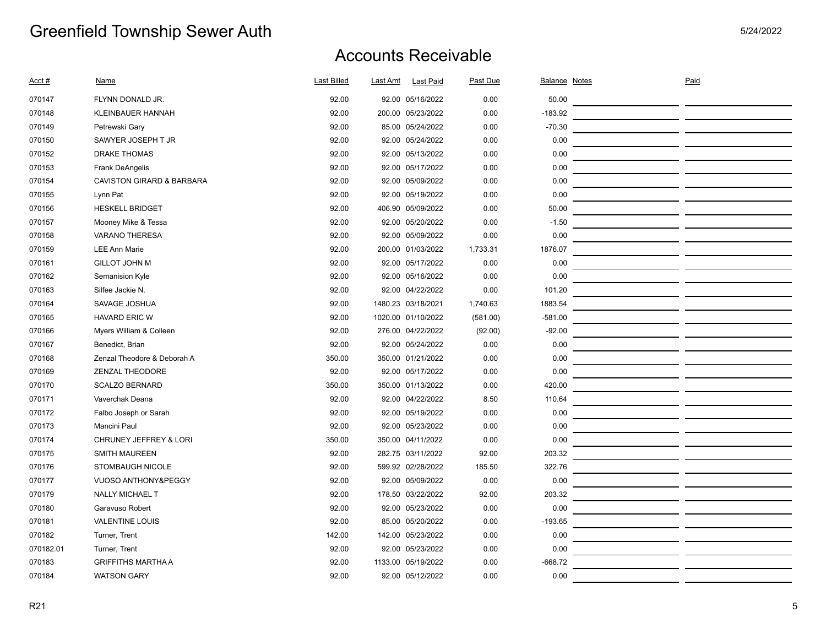| Acct #    | Name                                 | <b>Last Billed</b> | Last Amt | <b>Last Paid</b>   | Past Due | Balance Notes | Paid |  |
|-----------|--------------------------------------|--------------------|----------|--------------------|----------|---------------|------|--|
| 070147    | FLYNN DONALD JR.                     | 92.00              |          | 92.00 05/16/2022   | 0.00     | 50.00         |      |  |
| 070148    | <b>KLEINBAUER HANNAH</b>             | 92.00              |          | 200.00 05/23/2022  | 0.00     | $-183.92$     |      |  |
| 070149    | Petrewski Gary                       | 92.00              |          | 85.00 05/24/2022   | 0.00     | $-70.30$      |      |  |
| 070150    | SAWYER JOSEPH T JR                   | 92.00              |          | 92.00 05/24/2022   | 0.00     | 0.00          |      |  |
| 070152    | <b>DRAKE THOMAS</b>                  | 92.00              |          | 92.00 05/13/2022   | 0.00     | 0.00          |      |  |
| 070153    | <b>Frank DeAngelis</b>               | 92.00              |          | 92.00 05/17/2022   | 0.00     | 0.00          |      |  |
| 070154    | <b>CAVISTON GIRARD &amp; BARBARA</b> | 92.00              |          | 92.00 05/09/2022   | 0.00     | 0.00          |      |  |
| 070155    | Lynn Pat                             | 92.00              |          | 92.00 05/19/2022   | 0.00     | 0.00          |      |  |
| 070156    | <b>HESKELL BRIDGET</b>               | 92.00              |          | 406.90 05/09/2022  | 0.00     | 50.00         |      |  |
| 070157    | Mooney Mike & Tessa                  | 92.00              |          | 92.00 05/20/2022   | 0.00     | $-1.50$       |      |  |
| 070158    | <b>VARANO THERESA</b>                | 92.00              |          | 92.00 05/09/2022   | 0.00     | 0.00          |      |  |
| 070159    | <b>LEE Ann Marie</b>                 | 92.00              |          | 200.00 01/03/2022  | 1,733.31 | 1876.07       |      |  |
| 070161    | <b>GILLOT JOHN M</b>                 | 92.00              |          | 92.00 05/17/2022   | 0.00     | 0.00          |      |  |
| 070162    | Semanision Kyle                      | 92.00              |          | 92.00 05/16/2022   | 0.00     | 0.00          |      |  |
| 070163    | Silfee Jackie N.                     | 92.00              |          | 92.00 04/22/2022   | 0.00     | 101.20        |      |  |
| 070164    | SAVAGE JOSHUA                        | 92.00              |          | 1480.23 03/18/2021 | 1,740.63 | 1883.54       |      |  |
| 070165    | <b>HAVARD ERIC W</b>                 | 92.00              |          | 1020.00 01/10/2022 | (581.00) | $-581.00$     |      |  |
| 070166    | Myers William & Colleen              | 92.00              |          | 276.00 04/22/2022  | (92.00)  | $-92.00$      |      |  |
| 070167    | Benedict, Brian                      | 92.00              |          | 92.00 05/24/2022   | 0.00     | 0.00          |      |  |
| 070168    | Zenzal Theodore & Deborah A          | 350.00             |          | 350.00 01/21/2022  | 0.00     | 0.00          |      |  |
| 070169    | ZENZAL THEODORE                      | 92.00              |          | 92.00 05/17/2022   | 0.00     | 0.00          |      |  |
| 070170    | <b>SCALZO BERNARD</b>                | 350.00             |          | 350.00 01/13/2022  | 0.00     | 420.00        |      |  |
| 070171    | Vaverchak Deana                      | 92.00              |          | 92.00 04/22/2022   | 8.50     | 110.64        |      |  |
| 070172    | Falbo Joseph or Sarah                | 92.00              |          | 92.00 05/19/2022   | 0.00     | 0.00          |      |  |
| 070173    | Mancini Paul                         | 92.00              |          | 92.00 05/23/2022   | 0.00     | 0.00          |      |  |
| 070174    | CHRUNEY JEFFREY & LORI               | 350.00             |          | 350.00 04/11/2022  | 0.00     | 0.00          |      |  |
| 070175    | <b>SMITH MAUREEN</b>                 | 92.00              |          | 282.75 03/11/2022  | 92.00    | 203.32        |      |  |
| 070176    | <b>STOMBAUGH NICOLE</b>              | 92.00              |          | 599.92 02/28/2022  | 185.50   | 322.76        |      |  |
| 070177    | VUOSO ANTHONY&PEGGY                  | 92.00              |          | 92.00 05/09/2022   | 0.00     | 0.00          |      |  |
| 070179    | <b>NALLY MICHAEL T</b>               | 92.00              |          | 178.50 03/22/2022  | 92.00    | 203.32        |      |  |
| 070180    | Garavuso Robert                      | 92.00              |          | 92.00 05/23/2022   | 0.00     | 0.00          |      |  |
| 070181    | <b>VALENTINE LOUIS</b>               | 92.00              |          | 85.00 05/20/2022   | 0.00     | $-193.65$     |      |  |
| 070182    | Turner, Trent                        | 142.00             |          | 142.00 05/23/2022  | 0.00     | 0.00          |      |  |
| 070182.01 | Turner, Trent                        | 92.00              |          | 92.00 05/23/2022   | 0.00     | 0.00          |      |  |
| 070183    | <b>GRIFFITHS MARTHA A</b>            | 92.00              |          | 1133.00 05/19/2022 | 0.00     | $-668.72$     |      |  |
| 070184    | <b>WATSON GARY</b>                   | 92.00              |          | 92.00 05/12/2022   | 0.00     | 0.00          |      |  |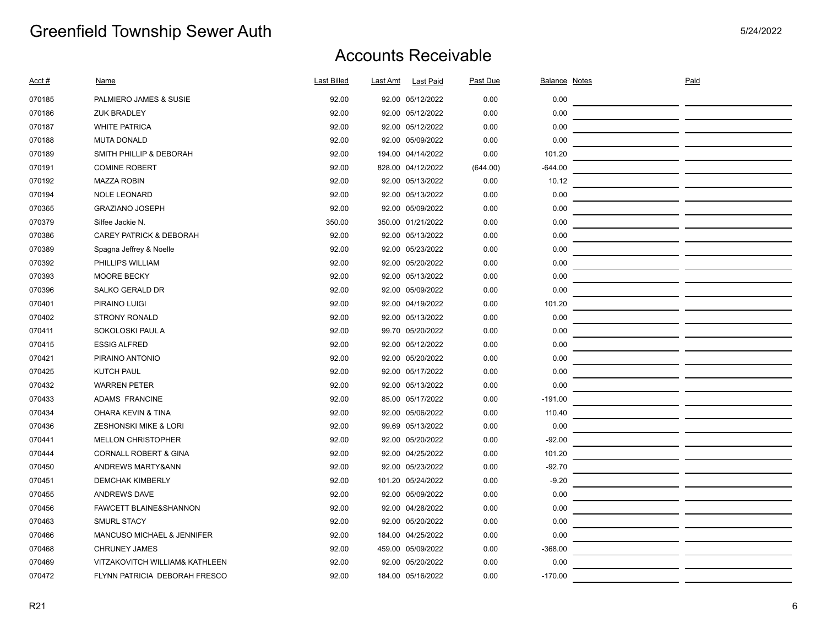| Acct # | <b>Name</b>                           | <b>Last Billed</b> | Last Amt | <b>Last Paid</b>  | Past Due | <b>Balance Notes</b> | Paid |  |
|--------|---------------------------------------|--------------------|----------|-------------------|----------|----------------------|------|--|
| 070185 | PALMIERO JAMES & SUSIE                | 92.00              |          | 92.00 05/12/2022  | 0.00     | 0.00                 |      |  |
| 070186 | <b>ZUK BRADLEY</b>                    | 92.00              |          | 92.00 05/12/2022  | 0.00     | 0.00                 |      |  |
| 070187 | <b>WHITE PATRICA</b>                  | 92.00              |          | 92.00 05/12/2022  | 0.00     | 0.00                 |      |  |
| 070188 | <b>MUTA DONALD</b>                    | 92.00              |          | 92.00 05/09/2022  | 0.00     | 0.00                 |      |  |
| 070189 | SMITH PHILLIP & DEBORAH               | 92.00              |          | 194.00 04/14/2022 | 0.00     | 101.20               |      |  |
| 070191 | <b>COMINE ROBERT</b>                  | 92.00              |          | 828.00 04/12/2022 | (644.00) | $-644.00$            |      |  |
| 070192 | <b>MAZZA ROBIN</b>                    | 92.00              |          | 92.00 05/13/2022  | 0.00     | 10.12                |      |  |
| 070194 | <b>NOLE LEONARD</b>                   | 92.00              |          | 92.00 05/13/2022  | 0.00     | 0.00                 |      |  |
| 070365 | <b>GRAZIANO JOSEPH</b>                | 92.00              |          | 92.00 05/09/2022  | 0.00     | 0.00                 |      |  |
| 070379 | Silfee Jackie N.                      | 350.00             |          | 350.00 01/21/2022 | 0.00     | 0.00                 |      |  |
| 070386 | <b>CAREY PATRICK &amp; DEBORAH</b>    | 92.00              |          | 92.00 05/13/2022  | 0.00     | 0.00                 |      |  |
| 070389 | Spagna Jeffrey & Noelle               | 92.00              |          | 92.00 05/23/2022  | 0.00     | 0.00                 |      |  |
| 070392 | PHILLIPS WILLIAM                      | 92.00              |          | 92.00 05/20/2022  | 0.00     | 0.00                 |      |  |
| 070393 | <b>MOORE BECKY</b>                    | 92.00              |          | 92.00 05/13/2022  | 0.00     | 0.00                 |      |  |
| 070396 | <b>SALKO GERALD DR</b>                | 92.00              |          | 92.00 05/09/2022  | 0.00     | 0.00                 |      |  |
| 070401 | PIRAINO LUIGI                         | 92.00              |          | 92.00 04/19/2022  | 0.00     | 101.20               |      |  |
| 070402 | STRONY RONALD                         | 92.00              |          | 92.00 05/13/2022  | 0.00     | 0.00                 |      |  |
| 070411 | SOKOLOSKI PAUL A                      | 92.00              |          | 99.70 05/20/2022  | 0.00     | 0.00                 |      |  |
| 070415 | <b>ESSIG ALFRED</b>                   | 92.00              |          | 92.00 05/12/2022  | 0.00     | 0.00                 |      |  |
| 070421 | PIRAINO ANTONIO                       | 92.00              |          | 92.00 05/20/2022  | 0.00     | 0.00                 |      |  |
| 070425 | <b>KUTCH PAUL</b>                     | 92.00              |          | 92.00 05/17/2022  | 0.00     | 0.00                 |      |  |
| 070432 | <b>WARREN PETER</b>                   | 92.00              |          | 92.00 05/13/2022  | 0.00     | 0.00                 |      |  |
| 070433 | <b>ADAMS FRANCINE</b>                 | 92.00              |          | 85.00 05/17/2022  | 0.00     | $-191.00$            |      |  |
| 070434 | <b>OHARA KEVIN &amp; TINA</b>         | 92.00              |          | 92.00 05/06/2022  | 0.00     | 110.40               |      |  |
| 070436 | <b>ZESHONSKI MIKE &amp; LORI</b>      | 92.00              |          | 99.69 05/13/2022  | 0.00     | 0.00                 |      |  |
| 070441 | <b>MELLON CHRISTOPHER</b>             | 92.00              |          | 92.00 05/20/2022  | 0.00     | $-92.00$             |      |  |
| 070444 | <b>CORNALL ROBERT &amp; GINA</b>      | 92.00              |          | 92.00 04/25/2022  | 0.00     | 101.20               |      |  |
| 070450 | ANDREWS MARTY&ANN                     | 92.00              |          | 92.00 05/23/2022  | 0.00     | $-92.70$             |      |  |
| 070451 | <b>DEMCHAK KIMBERLY</b>               | 92.00              |          | 101.20 05/24/2022 | 0.00     | $-9.20$              |      |  |
| 070455 | <b>ANDREWS DAVE</b>                   | 92.00              |          | 92.00 05/09/2022  | 0.00     | 0.00                 |      |  |
| 070456 | FAWCETT BLAINE&SHANNON                | 92.00              |          | 92.00 04/28/2022  | 0.00     | 0.00                 |      |  |
| 070463 | <b>SMURL STACY</b>                    | 92.00              |          | 92.00 05/20/2022  | 0.00     | 0.00                 |      |  |
| 070466 | <b>MANCUSO MICHAEL &amp; JENNIFER</b> | 92.00              |          | 184.00 04/25/2022 | 0.00     | 0.00                 |      |  |
| 070468 | <b>CHRUNEY JAMES</b>                  | 92.00              |          | 459.00 05/09/2022 | 0.00     | $-368.00$            |      |  |
| 070469 | VITZAKOVITCH WILLIAM& KATHLEEN        | 92.00              |          | 92.00 05/20/2022  | 0.00     | 0.00                 |      |  |
| 070472 | FLYNN PATRICIA DEBORAH FRESCO         | 92.00              |          | 184.00 05/16/2022 | 0.00     | $-170.00$            |      |  |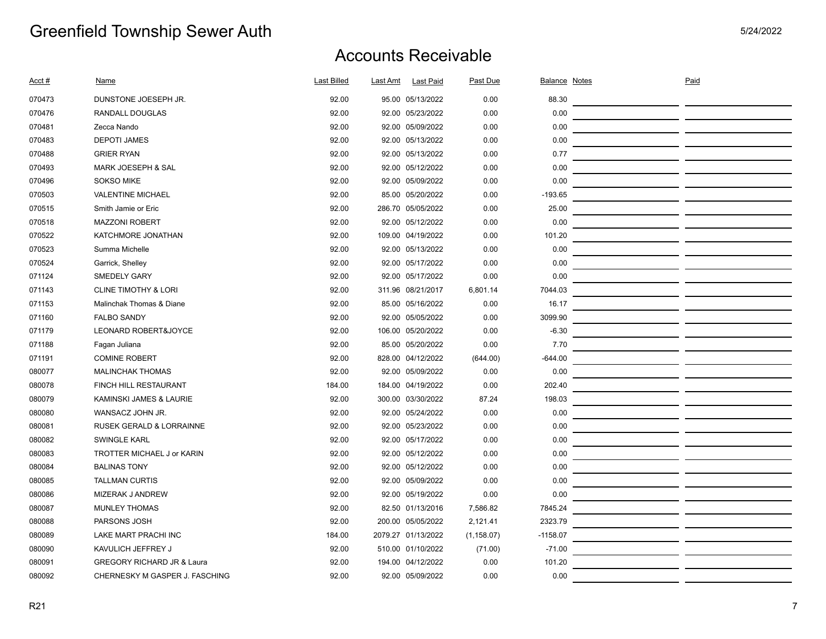| Acct # | <b>Name</b>                         | <b>Last Billed</b> | <b>Last Amt</b><br><b>Last Paid</b> | Past Due    | <b>Balance Notes</b> | Paid |  |
|--------|-------------------------------------|--------------------|-------------------------------------|-------------|----------------------|------|--|
| 070473 | DUNSTONE JOESEPH JR.                | 92.00              | 95.00 05/13/2022                    | 0.00        | 88.30                |      |  |
| 070476 | <b>RANDALL DOUGLAS</b>              | 92.00              | 92.00 05/23/2022                    | 0.00        | 0.00                 |      |  |
| 070481 | Zecca Nando                         | 92.00              | 92.00 05/09/2022                    | 0.00        | 0.00                 |      |  |
| 070483 | <b>DEPOTI JAMES</b>                 | 92.00              | 92.00 05/13/2022                    | 0.00        | 0.00                 |      |  |
| 070488 | <b>GRIER RYAN</b>                   | 92.00              | 92.00 05/13/2022                    | 0.00        | 0.77                 |      |  |
| 070493 | MARK JOESEPH & SAL                  | 92.00              | 92.00 05/12/2022                    | 0.00        | 0.00                 |      |  |
| 070496 | <b>SOKSO MIKE</b>                   | 92.00              | 92.00 05/09/2022                    | 0.00        | 0.00                 |      |  |
| 070503 | <b>VALENTINE MICHAEL</b>            | 92.00              | 85.00 05/20/2022                    | 0.00        | $-193.65$            |      |  |
| 070515 | Smith Jamie or Eric                 | 92.00              | 286.70 05/05/2022                   | 0.00        | 25.00                |      |  |
| 070518 | <b>MAZZONI ROBERT</b>               | 92.00              | 92.00 05/12/2022                    | 0.00        | 0.00                 |      |  |
| 070522 | KATCHMORE JONATHAN                  | 92.00              | 109.00 04/19/2022                   | 0.00        | 101.20               |      |  |
| 070523 | Summa Michelle                      | 92.00              | 92.00 05/13/2022                    | 0.00        | 0.00                 |      |  |
| 070524 | Garrick, Shelley                    | 92.00              | 92.00 05/17/2022                    | 0.00        | 0.00                 |      |  |
| 071124 | <b>SMEDELY GARY</b>                 | 92.00              | 92.00 05/17/2022                    | 0.00        | 0.00                 |      |  |
| 071143 | <b>CLINE TIMOTHY &amp; LORI</b>     | 92.00              | 311.96 08/21/2017                   | 6,801.14    | 7044.03              |      |  |
| 071153 | Malinchak Thomas & Diane            | 92.00              | 85.00 05/16/2022                    | 0.00        | 16.17                |      |  |
| 071160 | <b>FALBO SANDY</b>                  | 92.00              | 92.00 05/05/2022                    | 0.00        | 3099.90              |      |  |
| 071179 | LEONARD ROBERT&JOYCE                | 92.00              | 106.00 05/20/2022                   | 0.00        | $-6.30$              |      |  |
| 071188 | Fagan Juliana                       | 92.00              | 85.00 05/20/2022                    | 0.00        | 7.70                 |      |  |
| 071191 | <b>COMINE ROBERT</b>                | 92.00              | 828.00 04/12/2022                   | (644.00)    | $-644.00$            |      |  |
| 080077 | <b>MALINCHAK THOMAS</b>             | 92.00              | 92.00 05/09/2022                    | 0.00        | 0.00                 |      |  |
| 080078 | FINCH HILL RESTAURANT               | 184.00             | 184.00 04/19/2022                   | 0.00        | 202.40               |      |  |
| 080079 | KAMINSKI JAMES & LAURIE             | 92.00              | 300.00 03/30/2022                   | 87.24       | 198.03               |      |  |
| 080080 | WANSACZ JOHN JR.                    | 92.00              | 92.00 05/24/2022                    | 0.00        | 0.00                 |      |  |
| 080081 | <b>RUSEK GERALD &amp; LORRAINNE</b> | 92.00              | 92.00 05/23/2022                    | 0.00        | 0.00                 |      |  |
| 080082 | <b>SWINGLE KARL</b>                 | 92.00              | 92.00 05/17/2022                    | 0.00        | 0.00                 |      |  |
| 080083 | TROTTER MICHAEL J or KARIN          | 92.00              | 92.00 05/12/2022                    | 0.00        | 0.00                 |      |  |
| 080084 | <b>BALINAS TONY</b>                 | 92.00              | 92.00 05/12/2022                    | 0.00        | 0.00                 |      |  |
| 080085 | <b>TALLMAN CURTIS</b>               | 92.00              | 92.00 05/09/2022                    | 0.00        | 0.00                 |      |  |
| 080086 | <b>MIZERAK J ANDREW</b>             | 92.00              | 92.00 05/19/2022                    | 0.00        | 0.00                 |      |  |
| 080087 | <b>MUNLEY THOMAS</b>                | 92.00              | 82.50 01/13/2016                    | 7,586.82    | 7845.24              |      |  |
| 080088 | PARSONS JOSH                        | 92.00              | 200.00 05/05/2022                   | 2,121.41    | 2323.79              |      |  |
| 080089 | LAKE MART PRACHI INC                | 184.00             | 2079.27 01/13/2022                  | (1, 158.07) | $-1158.07$           |      |  |
| 080090 | KAVULICH JEFFREY J                  | 92.00              | 510.00 01/10/2022                   | (71.00)     | $-71.00$             |      |  |
| 080091 | GREGORY RICHARD JR & Laura          | 92.00              | 194.00 04/12/2022                   | 0.00        | 101.20               |      |  |
| 080092 | CHERNESKY M GASPER J. FASCHING      | 92.00              | 92.00 05/09/2022                    | 0.00        | 0.00                 |      |  |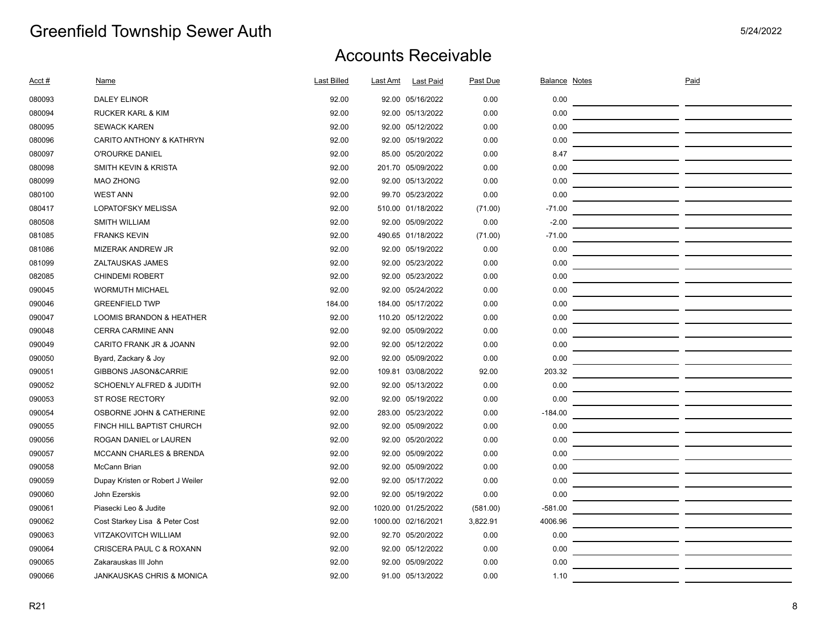| <u>Acct #</u> | <b>Name</b>                          | <b>Last Billed</b> | <b>Last Amt</b> | <b>Last Paid</b>   | Past Due | Balance Notes | Paid |  |
|---------------|--------------------------------------|--------------------|-----------------|--------------------|----------|---------------|------|--|
| 080093        | <b>DALEY ELINOR</b>                  | 92.00              |                 | 92.00 05/16/2022   | 0.00     | 0.00          |      |  |
| 080094        | <b>RUCKER KARL &amp; KIM</b>         | 92.00              |                 | 92.00 05/13/2022   | 0.00     | 0.00          |      |  |
| 080095        | <b>SEWACK KAREN</b>                  | 92.00              |                 | 92.00 05/12/2022   | 0.00     | 0.00          |      |  |
| 080096        | CARITO ANTHONY & KATHRYN             | 92.00              |                 | 92.00 05/19/2022   | 0.00     | 0.00          |      |  |
| 080097        | O'ROURKE DANIEL                      | 92.00              |                 | 85.00 05/20/2022   | 0.00     | 8.47          |      |  |
| 080098        | SMITH KEVIN & KRISTA                 | 92.00              |                 | 201.70 05/09/2022  | 0.00     | 0.00          |      |  |
| 080099        | <b>MAO ZHONG</b>                     | 92.00              |                 | 92.00 05/13/2022   | 0.00     | 0.00          |      |  |
| 080100        | <b>WEST ANN</b>                      | 92.00              |                 | 99.70 05/23/2022   | 0.00     | 0.00          |      |  |
| 080417        | <b>LOPATOFSKY MELISSA</b>            | 92.00              |                 | 510.00 01/18/2022  | (71.00)  | $-71.00$      |      |  |
| 080508        | <b>SMITH WILLIAM</b>                 | 92.00              |                 | 92.00 05/09/2022   | 0.00     | $-2.00$       |      |  |
| 081085        | <b>FRANKS KEVIN</b>                  | 92.00              |                 | 490.65 01/18/2022  | (71.00)  | $-71.00$      |      |  |
| 081086        | MIZERAK ANDREW JR                    | 92.00              |                 | 92.00 05/19/2022   | 0.00     | 0.00          |      |  |
| 081099        | ZALTAUSKAS JAMES                     | 92.00              |                 | 92.00 05/23/2022   | 0.00     | 0.00          |      |  |
| 082085        | <b>CHINDEMI ROBERT</b>               | 92.00              |                 | 92.00 05/23/2022   | 0.00     | 0.00          |      |  |
| 090045        | <b>WORMUTH MICHAEL</b>               | 92.00              |                 | 92.00 05/24/2022   | 0.00     | 0.00          |      |  |
| 090046        | <b>GREENFIELD TWP</b>                | 184.00             |                 | 184.00 05/17/2022  | 0.00     | 0.00          |      |  |
| 090047        | <b>LOOMIS BRANDON &amp; HEATHER</b>  | 92.00              |                 | 110.20 05/12/2022  | 0.00     | 0.00          |      |  |
| 090048        | <b>CERRA CARMINE ANN</b>             | 92.00              |                 | 92.00 05/09/2022   | 0.00     | 0.00          |      |  |
| 090049        | CARITO FRANK JR & JOANN              | 92.00              |                 | 92.00 05/12/2022   | 0.00     | 0.00          |      |  |
| 090050        | Byard, Zackary & Joy                 | 92.00              |                 | 92.00 05/09/2022   | 0.00     | 0.00          |      |  |
| 090051        | <b>GIBBONS JASON&amp;CARRIE</b>      | 92.00              |                 | 109.81 03/08/2022  | 92.00    | 203.32        |      |  |
| 090052        | SCHOENLY ALFRED & JUDITH             | 92.00              |                 | 92.00 05/13/2022   | 0.00     | 0.00          |      |  |
| 090053        | ST ROSE RECTORY                      | 92.00              |                 | 92.00 05/19/2022   | 0.00     | 0.00          |      |  |
| 090054        | OSBORNE JOHN & CATHERINE             | 92.00              |                 | 283.00 05/23/2022  | 0.00     | $-184.00$     |      |  |
| 090055        | FINCH HILL BAPTIST CHURCH            | 92.00              |                 | 92.00 05/09/2022   | 0.00     | 0.00          |      |  |
| 090056        | ROGAN DANIEL or LAUREN               | 92.00              |                 | 92.00 05/20/2022   | 0.00     | 0.00          |      |  |
| 090057        | <b>MCCANN CHARLES &amp; BRENDA</b>   | 92.00              |                 | 92.00 05/09/2022   | 0.00     | 0.00          |      |  |
| 090058        | McCann Brian                         | 92.00              |                 | 92.00 05/09/2022   | 0.00     | 0.00          |      |  |
| 090059        | Dupay Kristen or Robert J Weiler     | 92.00              |                 | 92.00 05/17/2022   | 0.00     | 0.00          |      |  |
| 090060        | John Ezerskis                        | 92.00              |                 | 92.00 05/19/2022   | 0.00     | 0.00          |      |  |
| 090061        | Piasecki Leo & Judite                | 92.00              |                 | 1020.00 01/25/2022 | (581.00) | $-581.00$     |      |  |
| 090062        | Cost Starkey Lisa & Peter Cost       | 92.00              |                 | 1000.00 02/16/2021 | 3,822.91 | 4006.96       |      |  |
| 090063        | <b>VITZAKOVITCH WILLIAM</b>          | 92.00              |                 | 92.70 05/20/2022   | 0.00     | 0.00          |      |  |
| 090064        | CRISCERA PAUL C & ROXANN             | 92.00              |                 | 92.00 05/12/2022   | 0.00     | 0.00          |      |  |
| 090065        | Zakarauskas III John                 | 92.00              |                 | 92.00 05/09/2022   | 0.00     | 0.00          |      |  |
| 090066        | <b>JANKAUSKAS CHRIS &amp; MONICA</b> | 92.00              |                 | 91.00 05/13/2022   | 0.00     | 1.10          |      |  |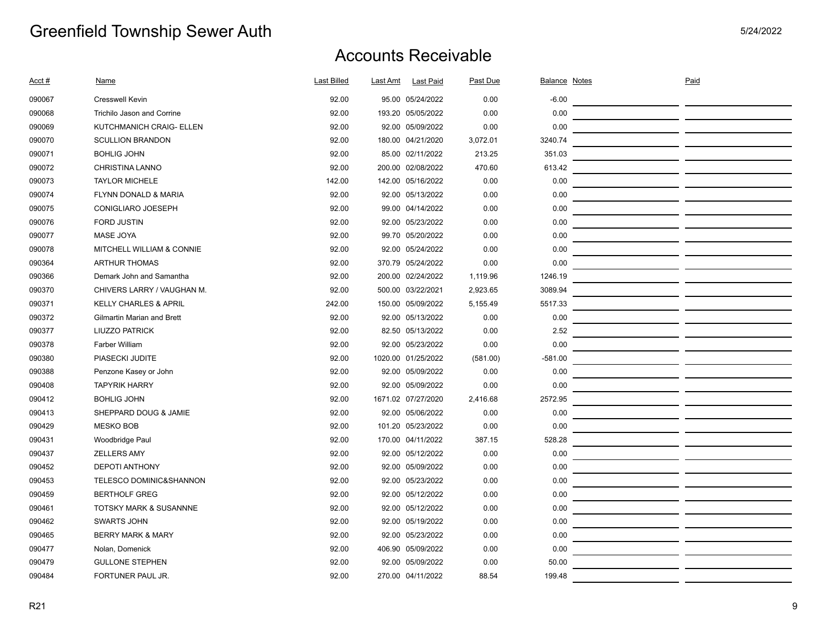| <u>Acct #</u> | <b>Name</b>                        | <b>Last Billed</b> | Last Amt | <b>Last Paid</b>   | <b>Past Due</b> | <b>Balance Notes</b> | Paid |  |
|---------------|------------------------------------|--------------------|----------|--------------------|-----------------|----------------------|------|--|
| 090067        | <b>Cresswell Kevin</b>             | 92.00              |          | 95.00 05/24/2022   | 0.00            | $-6.00$              |      |  |
| 090068        | Trichilo Jason and Corrine         | 92.00              |          | 193.20 05/05/2022  | 0.00            | 0.00                 |      |  |
| 090069        | KUTCHMANICH CRAIG- ELLEN           | 92.00              |          | 92.00 05/09/2022   | 0.00            | 0.00                 |      |  |
| 090070        | <b>SCULLION BRANDON</b>            | 92.00              |          | 180.00 04/21/2020  | 3,072.01        | 3240.74              |      |  |
| 090071        | <b>BOHLIG JOHN</b>                 | 92.00              |          | 85.00 02/11/2022   | 213.25          | 351.03               |      |  |
| 090072        | <b>CHRISTINA LANNO</b>             | 92.00              |          | 200.00 02/08/2022  | 470.60          | 613.42               |      |  |
| 090073        | <b>TAYLOR MICHELE</b>              | 142.00             |          | 142.00 05/16/2022  | 0.00            | 0.00                 |      |  |
| 090074        | FLYNN DONALD & MARIA               | 92.00              |          | 92.00 05/13/2022   | 0.00            | 0.00                 |      |  |
| 090075        | CONIGLIARO JOESEPH                 | 92.00              |          | 99.00 04/14/2022   | 0.00            | 0.00                 |      |  |
| 090076        | <b>FORD JUSTIN</b>                 | 92.00              |          | 92.00 05/23/2022   | 0.00            | 0.00                 |      |  |
| 090077        | <b>MASE JOYA</b>                   | 92.00              |          | 99.70 05/20/2022   | 0.00            | 0.00                 |      |  |
| 090078        | MITCHELL WILLIAM & CONNIE          | 92.00              |          | 92.00 05/24/2022   | 0.00            | 0.00                 |      |  |
| 090364        | <b>ARTHUR THOMAS</b>               | 92.00              |          | 370.79 05/24/2022  | 0.00            | 0.00                 |      |  |
| 090366        | Demark John and Samantha           | 92.00              |          | 200.00 02/24/2022  | 1,119.96        | 1246.19              |      |  |
| 090370        | CHIVERS LARRY / VAUGHAN M.         | 92.00              |          | 500.00 03/22/2021  | 2,923.65        | 3089.94              |      |  |
| 090371        | <b>KELLY CHARLES &amp; APRIL</b>   | 242.00             |          | 150.00 05/09/2022  | 5,155.49        | 5517.33              |      |  |
| 090372        | <b>Gilmartin Marian and Brett</b>  | 92.00              |          | 92.00 05/13/2022   | 0.00            | 0.00                 |      |  |
| 090377        | <b>LIUZZO PATRICK</b>              | 92.00              |          | 82.50 05/13/2022   | 0.00            | 2.52                 |      |  |
| 090378        | <b>Farber William</b>              | 92.00              |          | 92.00 05/23/2022   | 0.00            | 0.00                 |      |  |
| 090380        | PIASECKI JUDITE                    | 92.00              |          | 1020.00 01/25/2022 | (581.00)        | $-581.00$            |      |  |
| 090388        | Penzone Kasey or John              | 92.00              |          | 92.00 05/09/2022   | 0.00            | 0.00                 |      |  |
| 090408        | <b>TAPYRIK HARRY</b>               | 92.00              |          | 92.00 05/09/2022   | 0.00            | 0.00                 |      |  |
| 090412        | <b>BOHLIG JOHN</b>                 | 92.00              |          | 1671.02 07/27/2020 | 2,416.68        | 2572.95              |      |  |
| 090413        | SHEPPARD DOUG & JAMIE              | 92.00              |          | 92.00 05/06/2022   | 0.00            | 0.00                 |      |  |
| 090429        | <b>MESKO BOB</b>                   | 92.00              |          | 101.20 05/23/2022  | 0.00            | 0.00                 |      |  |
| 090431        | Woodbridge Paul                    | 92.00              |          | 170.00 04/11/2022  | 387.15          | 528.28               |      |  |
| 090437        | <b>ZELLERS AMY</b>                 | 92.00              |          | 92.00 05/12/2022   | 0.00            | 0.00                 |      |  |
| 090452        | <b>DEPOTI ANTHONY</b>              | 92.00              |          | 92.00 05/09/2022   | 0.00            | 0.00                 |      |  |
| 090453        | <b>TELESCO DOMINIC&amp;SHANNON</b> | 92.00              |          | 92.00 05/23/2022   | 0.00            | 0.00                 |      |  |
| 090459        | <b>BERTHOLF GREG</b>               | 92.00              |          | 92.00 05/12/2022   | 0.00            | 0.00                 |      |  |
| 090461        | <b>TOTSKY MARK &amp; SUSANNNE</b>  | 92.00              |          | 92.00 05/12/2022   | 0.00            | 0.00                 |      |  |
| 090462        | <b>SWARTS JOHN</b>                 | 92.00              |          | 92.00 05/19/2022   | 0.00            | 0.00                 |      |  |
| 090465        | <b>BERRY MARK &amp; MARY</b>       | 92.00              |          | 92.00 05/23/2022   | 0.00            | 0.00                 |      |  |
| 090477        | Nolan, Domenick                    | 92.00              |          | 406.90 05/09/2022  | 0.00            | 0.00                 |      |  |
| 090479        | <b>GULLONE STEPHEN</b>             | 92.00              |          | 92.00 05/09/2022   | 0.00            | 50.00                |      |  |
| 090484        | FORTUNER PAUL JR.                  | 92.00              |          | 270.00 04/11/2022  | 88.54           | 199.48               |      |  |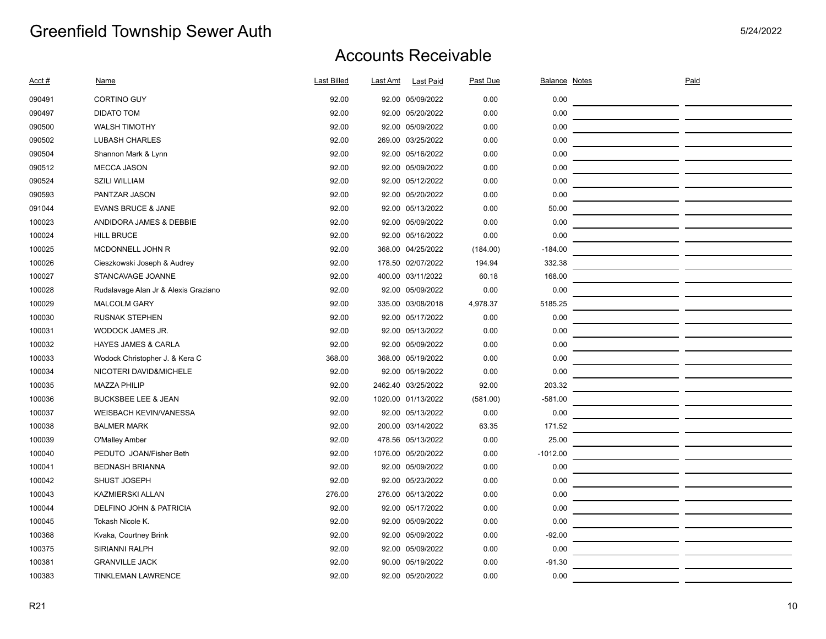| Acct # | <b>Name</b>                          | <b>Last Billed</b> | Last Amt           | <b>Last Paid</b> | Past Due | <b>Balance Notes</b> | Paid |  |
|--------|--------------------------------------|--------------------|--------------------|------------------|----------|----------------------|------|--|
| 090491 | <b>CORTINO GUY</b>                   | 92.00              | 92.00 05/09/2022   |                  | 0.00     | 0.00                 |      |  |
| 090497 | <b>DIDATO TOM</b>                    | 92.00              | 92.00 05/20/2022   |                  | 0.00     | 0.00                 |      |  |
| 090500 | <b>WALSH TIMOTHY</b>                 | 92.00              | 92.00 05/09/2022   |                  | 0.00     | 0.00                 |      |  |
| 090502 | <b>LUBASH CHARLES</b>                | 92.00              | 269.00 03/25/2022  |                  | 0.00     | 0.00                 |      |  |
| 090504 | Shannon Mark & Lynn                  | 92.00              | 92.00 05/16/2022   |                  | 0.00     | 0.00                 |      |  |
| 090512 | <b>MECCA JASON</b>                   | 92.00              | 92.00 05/09/2022   |                  | 0.00     | 0.00                 |      |  |
| 090524 | <b>SZILI WILLIAM</b>                 | 92.00              | 92.00 05/12/2022   |                  | 0.00     | 0.00                 |      |  |
| 090593 | PANTZAR JASON                        | 92.00              | 92.00 05/20/2022   |                  | 0.00     | 0.00                 |      |  |
| 091044 | <b>EVANS BRUCE &amp; JANE</b>        | 92.00              | 92.00 05/13/2022   |                  | 0.00     | 50.00                |      |  |
| 100023 | ANDIDORA JAMES & DEBBIE              | 92.00              | 92.00 05/09/2022   |                  | 0.00     | 0.00                 |      |  |
| 100024 | <b>HILL BRUCE</b>                    | 92.00              | 92.00 05/16/2022   |                  | 0.00     | 0.00                 |      |  |
| 100025 | MCDONNELL JOHN R                     | 92.00              | 368.00 04/25/2022  |                  | (184.00) | $-184.00$            |      |  |
| 100026 | Cieszkowski Joseph & Audrey          | 92.00              | 178.50 02/07/2022  |                  | 194.94   | 332.38               |      |  |
| 100027 | STANCAVAGE JOANNE                    | 92.00              | 400.00 03/11/2022  |                  | 60.18    | 168.00               |      |  |
| 100028 | Rudalavage Alan Jr & Alexis Graziano | 92.00              | 92.00 05/09/2022   |                  | 0.00     | 0.00                 |      |  |
| 100029 | <b>MALCOLM GARY</b>                  | 92.00              | 335.00 03/08/2018  |                  | 4,978.37 | 5185.25              |      |  |
| 100030 | <b>RUSNAK STEPHEN</b>                | 92.00              | 92.00 05/17/2022   |                  | 0.00     | 0.00                 |      |  |
| 100031 | WODOCK JAMES JR.                     | 92.00              | 92.00 05/13/2022   |                  | 0.00     | 0.00                 |      |  |
| 100032 | <b>HAYES JAMES &amp; CARLA</b>       | 92.00              | 92.00 05/09/2022   |                  | 0.00     | 0.00                 |      |  |
| 100033 | Wodock Christopher J. & Kera C       | 368.00             | 368.00 05/19/2022  |                  | 0.00     | 0.00                 |      |  |
| 100034 | NICOTERI DAVID&MICHELE               | 92.00              | 92.00 05/19/2022   |                  | 0.00     | 0.00                 |      |  |
| 100035 | <b>MAZZA PHILIP</b>                  | 92.00              | 2462.40 03/25/2022 |                  | 92.00    | 203.32               |      |  |
| 100036 | <b>BUCKSBEE LEE &amp; JEAN</b>       | 92.00              | 1020.00 01/13/2022 |                  | (581.00) | $-581.00$            |      |  |
| 100037 | <b>WEISBACH KEVIN/VANESSA</b>        | 92.00              | 92.00 05/13/2022   |                  | 0.00     | 0.00                 |      |  |
| 100038 | <b>BALMER MARK</b>                   | 92.00              | 200.00 03/14/2022  |                  | 63.35    | 171.52               |      |  |
| 100039 | O'Malley Amber                       | 92.00              | 478.56 05/13/2022  |                  | 0.00     | 25.00                |      |  |
| 100040 | PEDUTO JOAN/Fisher Beth              | 92.00              | 1076.00 05/20/2022 |                  | 0.00     | $-1012.00$           |      |  |
| 100041 | <b>BEDNASH BRIANNA</b>               | 92.00              | 92.00 05/09/2022   |                  | 0.00     | 0.00                 |      |  |
| 100042 | SHUST JOSEPH                         | 92.00              | 92.00 05/23/2022   |                  | 0.00     | 0.00                 |      |  |
| 100043 | <b>KAZMIERSKI ALLAN</b>              | 276.00             | 276.00 05/13/2022  |                  | 0.00     | 0.00                 |      |  |
| 100044 | DELFINO JOHN & PATRICIA              | 92.00              | 92.00 05/17/2022   |                  | 0.00     | 0.00                 |      |  |
| 100045 | Tokash Nicole K.                     | 92.00              | 92.00 05/09/2022   |                  | 0.00     | 0.00                 |      |  |
| 100368 | Kvaka, Courtney Brink                | 92.00              | 92.00 05/09/2022   |                  | 0.00     | $-92.00$             |      |  |
| 100375 | SIRIANNI RALPH                       | 92.00              | 92.00 05/09/2022   |                  | 0.00     | 0.00                 |      |  |
| 100381 | <b>GRANVILLE JACK</b>                | 92.00              | 90.00 05/19/2022   |                  | 0.00     | $-91.30$             |      |  |
| 100383 | <b>TINKLEMAN LAWRENCE</b>            | 92.00              | 92.00 05/20/2022   |                  | 0.00     | 0.00                 |      |  |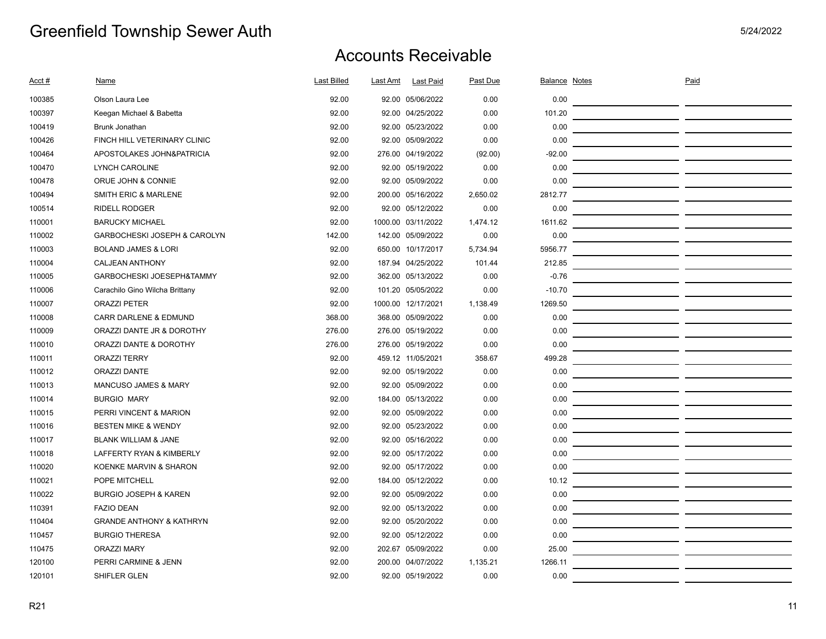| Acct#  | Name                                | <b>Last Billed</b> | Last Amt | <b>Last Paid</b>   | Past Due | <b>Balance Notes</b> | Paid |  |
|--------|-------------------------------------|--------------------|----------|--------------------|----------|----------------------|------|--|
| 100385 | Olson Laura Lee                     | 92.00              |          | 92.00 05/06/2022   | 0.00     | 0.00                 |      |  |
| 100397 | Keegan Michael & Babetta            | 92.00              |          | 92.00 04/25/2022   | 0.00     | 101.20               |      |  |
| 100419 | <b>Brunk Jonathan</b>               | 92.00              |          | 92.00 05/23/2022   | 0.00     | 0.00                 |      |  |
| 100426 | FINCH HILL VETERINARY CLINIC        | 92.00              |          | 92.00 05/09/2022   | 0.00     | 0.00                 |      |  |
| 100464 | APOSTOLAKES JOHN&PATRICIA           | 92.00              |          | 276.00 04/19/2022  | (92.00)  | $-92.00$             |      |  |
| 100470 | <b>LYNCH CAROLINE</b>               | 92.00              |          | 92.00 05/19/2022   | 0.00     | 0.00                 |      |  |
| 100478 | ORUE JOHN & CONNIE                  | 92.00              |          | 92.00 05/09/2022   | 0.00     | 0.00                 |      |  |
| 100494 | <b>SMITH ERIC &amp; MARLENE</b>     | 92.00              |          | 200.00 05/16/2022  | 2,650.02 | 2812.77              |      |  |
| 100514 | <b>RIDELL RODGER</b>                | 92.00              |          | 92.00 05/12/2022   | 0.00     | 0.00                 |      |  |
| 110001 | <b>BARUCKY MICHAEL</b>              | 92.00              |          | 1000.00 03/11/2022 | 1,474.12 | 1611.62              |      |  |
| 110002 | GARBOCHESKI JOSEPH & CAROLYN        | 142.00             |          | 142.00 05/09/2022  | 0.00     | 0.00                 |      |  |
| 110003 | <b>BOLAND JAMES &amp; LORI</b>      | 92.00              |          | 650.00 10/17/2017  | 5,734.94 | 5956.77              |      |  |
| 110004 | <b>CALJEAN ANTHONY</b>              | 92.00              |          | 187.94 04/25/2022  | 101.44   | 212.85               |      |  |
| 110005 | GARBOCHESKI JOESEPH&TAMMY           | 92.00              |          | 362.00 05/13/2022  | 0.00     | $-0.76$              |      |  |
| 110006 | Carachilo Gino Wilcha Brittany      | 92.00              |          | 101.20 05/05/2022  | 0.00     | $-10.70$             |      |  |
| 110007 | <b>ORAZZI PETER</b>                 | 92.00              |          | 1000.00 12/17/2021 | 1,138.49 | 1269.50              |      |  |
| 110008 | <b>CARR DARLENE &amp; EDMUND</b>    | 368.00             |          | 368.00 05/09/2022  | 0.00     | 0.00                 |      |  |
| 110009 | ORAZZI DANTE JR & DOROTHY           | 276.00             |          | 276.00 05/19/2022  | 0.00     | 0.00                 |      |  |
| 110010 | ORAZZI DANTE & DOROTHY              | 276.00             |          | 276.00 05/19/2022  | 0.00     | 0.00                 |      |  |
| 110011 | <b>ORAZZI TERRY</b>                 | 92.00              |          | 459.12 11/05/2021  | 358.67   | 499.28               |      |  |
| 110012 | <b>ORAZZI DANTE</b>                 | 92.00              |          | 92.00 05/19/2022   | 0.00     | 0.00                 |      |  |
| 110013 | <b>MANCUSO JAMES &amp; MARY</b>     | 92.00              |          | 92.00 05/09/2022   | 0.00     | 0.00                 |      |  |
| 110014 | <b>BURGIO MARY</b>                  | 92.00              |          | 184.00 05/13/2022  | 0.00     | 0.00                 |      |  |
| 110015 | PERRI VINCENT & MARION              | 92.00              |          | 92.00 05/09/2022   | 0.00     | 0.00                 |      |  |
| 110016 | <b>BESTEN MIKE &amp; WENDY</b>      | 92.00              |          | 92.00 05/23/2022   | 0.00     | 0.00                 |      |  |
| 110017 | BLANK WILLIAM & JANE                | 92.00              |          | 92.00 05/16/2022   | 0.00     | 0.00                 |      |  |
| 110018 | LAFFERTY RYAN & KIMBERLY            | 92.00              |          | 92.00 05/17/2022   | 0.00     | 0.00                 |      |  |
| 110020 | KOENKE MARVIN & SHARON              | 92.00              |          | 92.00 05/17/2022   | 0.00     | 0.00                 |      |  |
| 110021 | POPE MITCHELL                       | 92.00              |          | 184.00 05/12/2022  | 0.00     | 10.12                |      |  |
| 110022 | <b>BURGIO JOSEPH &amp; KAREN</b>    | 92.00              |          | 92.00 05/09/2022   | 0.00     | 0.00                 |      |  |
| 110391 | <b>FAZIO DEAN</b>                   | 92.00              |          | 92.00 05/13/2022   | 0.00     | 0.00                 |      |  |
| 110404 | <b>GRANDE ANTHONY &amp; KATHRYN</b> | 92.00              |          | 92.00 05/20/2022   | 0.00     | 0.00                 |      |  |
| 110457 | <b>BURGIO THERESA</b>               | 92.00              |          | 92.00 05/12/2022   | 0.00     | 0.00                 |      |  |
| 110475 | <b>ORAZZI MARY</b>                  | 92.00              |          | 202.67 05/09/2022  | 0.00     | 25.00                |      |  |
| 120100 | PERRI CARMINE & JENN                | 92.00              |          | 200.00 04/07/2022  | 1,135.21 | 1266.11              |      |  |
| 120101 | SHIFLER GLEN                        | 92.00              |          | 92.00 05/19/2022   | 0.00     | 0.00                 |      |  |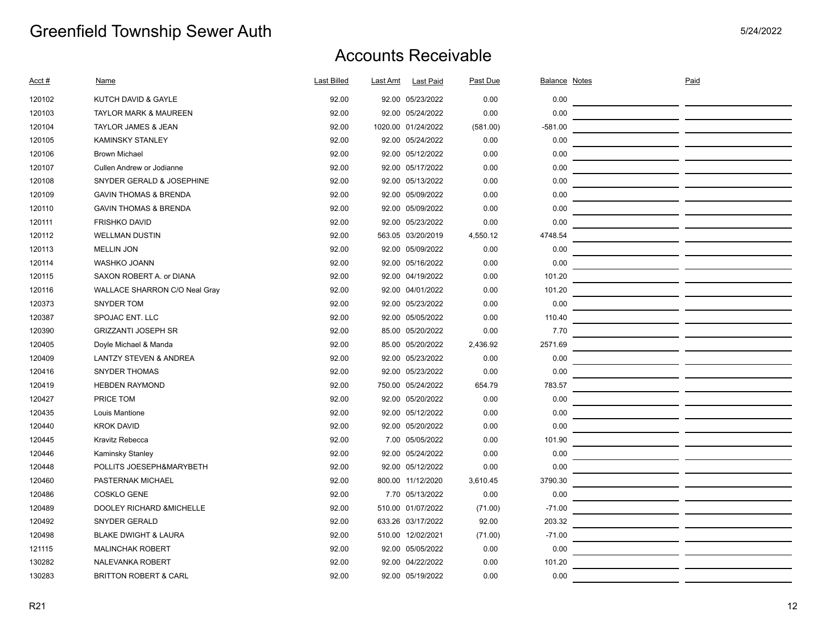| Acct # | Name                              | Last Billed | Last Amt           | <b>Last Paid</b>  | Past Due | Balance Notes | Paid |  |
|--------|-----------------------------------|-------------|--------------------|-------------------|----------|---------------|------|--|
| 120102 | KUTCH DAVID & GAYLE               | 92.00       |                    | 92.00 05/23/2022  | 0.00     | 0.00          |      |  |
| 120103 | <b>TAYLOR MARK &amp; MAUREEN</b>  | 92.00       |                    | 92.00 05/24/2022  | 0.00     | 0.00          |      |  |
| 120104 | TAYLOR JAMES & JEAN               | 92.00       | 1020.00 01/24/2022 |                   | (581.00) | $-581.00$     |      |  |
| 120105 | <b>KAMINSKY STANLEY</b>           | 92.00       |                    | 92.00 05/24/2022  | 0.00     | 0.00          |      |  |
| 120106 | <b>Brown Michael</b>              | 92.00       |                    | 92.00 05/12/2022  | 0.00     | 0.00          |      |  |
| 120107 | Cullen Andrew or Jodianne         | 92.00       |                    | 92.00 05/17/2022  | 0.00     | 0.00          |      |  |
| 120108 | SNYDER GERALD & JOSEPHINE         | 92.00       |                    | 92.00 05/13/2022  | 0.00     | 0.00          |      |  |
| 120109 | <b>GAVIN THOMAS &amp; BRENDA</b>  | 92.00       |                    | 92.00 05/09/2022  | 0.00     | 0.00          |      |  |
| 120110 | <b>GAVIN THOMAS &amp; BRENDA</b>  | 92.00       |                    | 92.00 05/09/2022  | 0.00     | 0.00          |      |  |
| 120111 | <b>FRISHKO DAVID</b>              | 92.00       |                    | 92.00 05/23/2022  | 0.00     | 0.00          |      |  |
| 120112 | <b>WELLMAN DUSTIN</b>             | 92.00       |                    | 563.05 03/20/2019 | 4,550.12 | 4748.54       |      |  |
| 120113 | <b>MELLIN JON</b>                 | 92.00       |                    | 92.00 05/09/2022  | 0.00     | 0.00          |      |  |
| 120114 | <b>WASHKO JOANN</b>               | 92.00       |                    | 92.00 05/16/2022  | 0.00     | 0.00          |      |  |
| 120115 | SAXON ROBERT A. or DIANA          | 92.00       |                    | 92.00 04/19/2022  | 0.00     | 101.20        |      |  |
| 120116 | WALLACE SHARRON C/O Neal Gray     | 92.00       |                    | 92.00 04/01/2022  | 0.00     | 101.20        |      |  |
| 120373 | <b>SNYDER TOM</b>                 | 92.00       |                    | 92.00 05/23/2022  | 0.00     | 0.00          |      |  |
| 120387 | SPOJAC ENT. LLC                   | 92.00       |                    | 92.00 05/05/2022  | 0.00     | 110.40        |      |  |
| 120390 | <b>GRIZZANTI JOSEPH SR</b>        | 92.00       |                    | 85.00 05/20/2022  | 0.00     | 7.70          |      |  |
| 120405 | Doyle Michael & Manda             | 92.00       |                    | 85.00 05/20/2022  | 2,436.92 | 2571.69       |      |  |
| 120409 | <b>LANTZY STEVEN &amp; ANDREA</b> | 92.00       |                    | 92.00 05/23/2022  | 0.00     | 0.00          |      |  |
| 120416 | <b>SNYDER THOMAS</b>              | 92.00       |                    | 92.00 05/23/2022  | 0.00     | 0.00          |      |  |
| 120419 | <b>HEBDEN RAYMOND</b>             | 92.00       |                    | 750.00 05/24/2022 | 654.79   | 783.57        |      |  |
| 120427 | PRICE TOM                         | 92.00       |                    | 92.00 05/20/2022  | 0.00     | 0.00          |      |  |
| 120435 | Louis Mantione                    | 92.00       |                    | 92.00 05/12/2022  | 0.00     | 0.00          |      |  |
| 120440 | <b>KROK DAVID</b>                 | 92.00       |                    | 92.00 05/20/2022  | 0.00     | 0.00          |      |  |
| 120445 | Kravitz Rebecca                   | 92.00       |                    | 7.00 05/05/2022   | 0.00     | 101.90        |      |  |
| 120446 | Kaminsky Stanley                  | 92.00       |                    | 92.00 05/24/2022  | 0.00     | 0.00          |      |  |
| 120448 | POLLITS JOESEPH&MARYBETH          | 92.00       |                    | 92.00 05/12/2022  | 0.00     | 0.00          |      |  |
| 120460 | PASTERNAK MICHAEL                 | 92.00       |                    | 800.00 11/12/2020 | 3,610.45 | 3790.30       |      |  |
| 120486 | <b>COSKLO GENE</b>                | 92.00       |                    | 7.70 05/13/2022   | 0.00     | 0.00          |      |  |
| 120489 | DOOLEY RICHARD & MICHELLE         | 92.00       |                    | 510.00 01/07/2022 | (71.00)  | $-71.00$      |      |  |
| 120492 | <b>SNYDER GERALD</b>              | 92.00       |                    | 633.26 03/17/2022 | 92.00    | 203.32        |      |  |
| 120498 | <b>BLAKE DWIGHT &amp; LAURA</b>   | 92.00       |                    | 510.00 12/02/2021 | (71.00)  | $-71.00$      |      |  |
| 121115 | <b>MALINCHAK ROBERT</b>           | 92.00       |                    | 92.00 05/05/2022  | 0.00     | 0.00          |      |  |
| 130282 | <b>NALEVANKA ROBERT</b>           | 92.00       |                    | 92.00 04/22/2022  | 0.00     | 101.20        |      |  |
| 130283 | <b>BRITTON ROBERT &amp; CARL</b>  | 92.00       |                    | 92.00 05/19/2022  | 0.00     | 0.00          |      |  |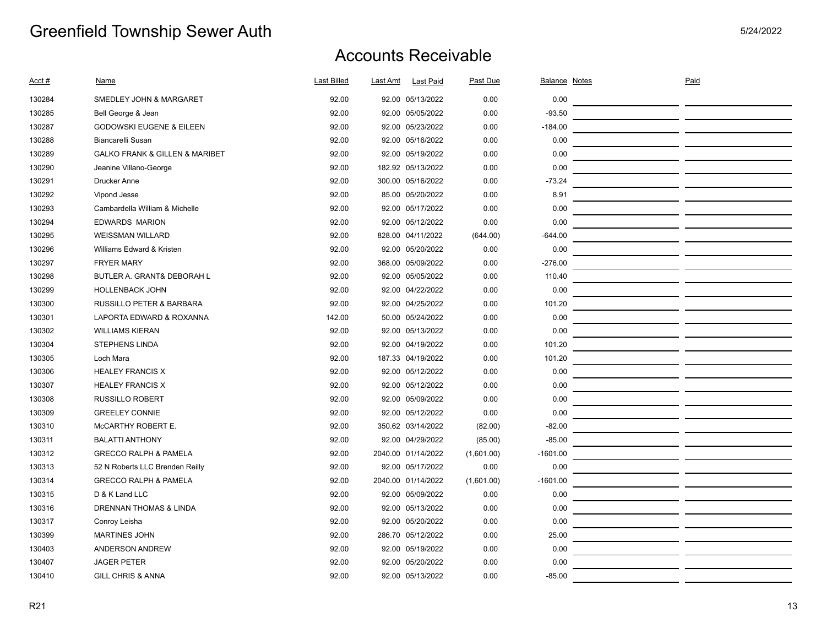| Acct # | Name                                          | <b>Last Billed</b> | Last Amt<br><b>Last Paid</b> | Past Due   | <b>Balance Notes</b> | Paid |  |
|--------|-----------------------------------------------|--------------------|------------------------------|------------|----------------------|------|--|
| 130284 | SMEDLEY JOHN & MARGARET                       | 92.00              | 92.00 05/13/2022             | 0.00       | 0.00                 |      |  |
| 130285 | Bell George & Jean                            | 92.00              | 92.00 05/05/2022             | 0.00       | $-93.50$             |      |  |
| 130287 | <b>GODOWSKI EUGENE &amp; EILEEN</b>           | 92.00              | 92.00 05/23/2022             | 0.00       | $-184.00$            |      |  |
| 130288 | <b>Biancarelli Susan</b>                      | 92.00              | 92.00 05/16/2022             | 0.00       | 0.00                 |      |  |
| 130289 | <b>GALKO FRANK &amp; GILLEN &amp; MARIBET</b> | 92.00              | 92.00 05/19/2022             | 0.00       | 0.00                 |      |  |
| 130290 | Jeanine Villano-George                        | 92.00              | 182.92 05/13/2022            | 0.00       | 0.00                 |      |  |
| 130291 | <b>Drucker Anne</b>                           | 92.00              | 300.00 05/16/2022            | 0.00       | $-73.24$             |      |  |
| 130292 | Vipond Jesse                                  | 92.00              | 85.00 05/20/2022             | 0.00       | 8.91                 |      |  |
| 130293 | Cambardella William & Michelle                | 92.00              | 92.00 05/17/2022             | 0.00       | 0.00                 |      |  |
| 130294 | <b>EDWARDS MARION</b>                         | 92.00              | 92.00 05/12/2022             | 0.00       | 0.00                 |      |  |
| 130295 | <b>WEISSMAN WILLARD</b>                       | 92.00              | 828.00 04/11/2022            | (644.00)   | $-644.00$            |      |  |
| 130296 | Williams Edward & Kristen                     | 92.00              | 92.00 05/20/2022             | 0.00       | 0.00                 |      |  |
| 130297 | <b>FRYER MARY</b>                             | 92.00              | 368.00 05/09/2022            | 0.00       | $-276.00$            |      |  |
| 130298 | BUTLER A. GRANT& DEBORAH L                    | 92.00              | 92.00 05/05/2022             | 0.00       | 110.40               |      |  |
| 130299 | <b>HOLLENBACK JOHN</b>                        | 92.00              | 92.00 04/22/2022             | 0.00       | 0.00                 |      |  |
| 130300 | RUSSILLO PETER & BARBARA                      | 92.00              | 92.00 04/25/2022             | 0.00       | 101.20               |      |  |
| 130301 | LAPORTA EDWARD & ROXANNA                      | 142.00             | 50.00 05/24/2022             | 0.00       | 0.00                 |      |  |
| 130302 | <b>WILLIAMS KIERAN</b>                        | 92.00              | 92.00 05/13/2022             | 0.00       | 0.00                 |      |  |
| 130304 | <b>STEPHENS LINDA</b>                         | 92.00              | 92.00 04/19/2022             | 0.00       | 101.20               |      |  |
| 130305 | Loch Mara                                     | 92.00              | 187.33 04/19/2022            | 0.00       | 101.20               |      |  |
| 130306 | <b>HEALEY FRANCIS X</b>                       | 92.00              | 92.00 05/12/2022             | 0.00       | 0.00                 |      |  |
| 130307 | <b>HEALEY FRANCIS X</b>                       | 92.00              | 92.00 05/12/2022             | 0.00       | 0.00                 |      |  |
| 130308 | <b>RUSSILLO ROBERT</b>                        | 92.00              | 92.00 05/09/2022             | 0.00       | 0.00                 |      |  |
| 130309 | <b>GREELEY CONNIE</b>                         | 92.00              | 92.00 05/12/2022             | 0.00       | 0.00                 |      |  |
| 130310 | McCARTHY ROBERT E.                            | 92.00              | 350.62 03/14/2022            | (82.00)    | $-82.00$             |      |  |
| 130311 | <b>BALATTI ANTHONY</b>                        | 92.00              | 92.00 04/29/2022             | (85.00)    | $-85.00$             |      |  |
| 130312 | <b>GRECCO RALPH &amp; PAMELA</b>              | 92.00              | 2040.00 01/14/2022           | (1,601.00) | $-1601.00$           |      |  |
| 130313 | 52 N Roberts LLC Brenden Reilly               | 92.00              | 92.00 05/17/2022             | 0.00       | 0.00                 |      |  |
| 130314 | <b>GRECCO RALPH &amp; PAMELA</b>              | 92.00              | 2040.00 01/14/2022           | (1,601.00) | $-1601.00$           |      |  |
| 130315 | D & K Land LLC                                | 92.00              | 92.00 05/09/2022             | 0.00       | 0.00                 |      |  |
| 130316 | DRENNAN THOMAS & LINDA                        | 92.00              | 92.00 05/13/2022             | 0.00       | 0.00                 |      |  |
| 130317 | Conroy Leisha                                 | 92.00              | 92.00 05/20/2022             | 0.00       | 0.00                 |      |  |
| 130399 | <b>MARTINES JOHN</b>                          | 92.00              | 286.70 05/12/2022            | 0.00       | 25.00                |      |  |
| 130403 | ANDERSON ANDREW                               | 92.00              | 92.00 05/19/2022             | 0.00       | 0.00                 |      |  |
| 130407 | <b>JAGER PETER</b>                            | 92.00              | 92.00 05/20/2022             | 0.00       | 0.00                 |      |  |
| 130410 | <b>GILL CHRIS &amp; ANNA</b>                  | 92.00              | 92.00 05/13/2022             | 0.00       | $-85.00$             |      |  |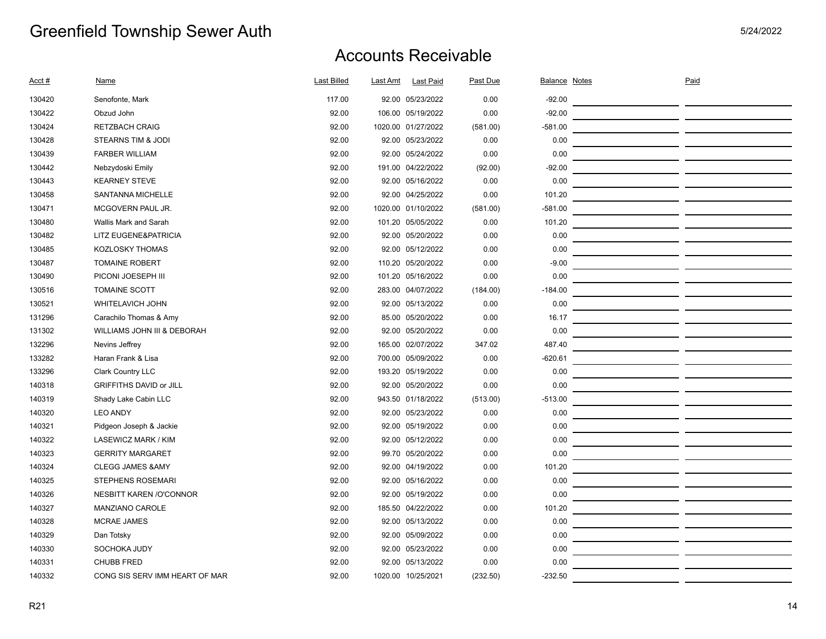| Acct # | <b>Name</b>                    | <b>Last Billed</b> | Last Amt | <b>Last Paid</b>   | Past Due | <b>Balance Notes</b> | Paid |
|--------|--------------------------------|--------------------|----------|--------------------|----------|----------------------|------|
| 130420 | Senofonte, Mark                | 117.00             |          | 92.00 05/23/2022   | 0.00     | $-92.00$             |      |
| 130422 | Obzud John                     | 92.00              |          | 106.00 05/19/2022  | 0.00     | $-92.00$             |      |
| 130424 | <b>RETZBACH CRAIG</b>          | 92.00              |          | 1020.00 01/27/2022 | (581.00) | $-581.00$            |      |
| 130428 | STEARNS TIM & JODI             | 92.00              |          | 92.00 05/23/2022   | 0.00     | 0.00                 |      |
| 130439 | <b>FARBER WILLIAM</b>          | 92.00              |          | 92.00 05/24/2022   | 0.00     | 0.00                 |      |
| 130442 | Nebzydoski Emily               | 92.00              |          | 191.00 04/22/2022  | (92.00)  | $-92.00$             |      |
| 130443 | <b>KEARNEY STEVE</b>           | 92.00              |          | 92.00 05/16/2022   | 0.00     | 0.00                 |      |
| 130458 | SANTANNA MICHELLE              | 92.00              |          | 92.00 04/25/2022   | 0.00     | 101.20               |      |
| 130471 | MCGOVERN PAUL JR.              | 92.00              |          | 1020.00 01/10/2022 | (581.00) | $-581.00$            |      |
| 130480 | Wallis Mark and Sarah          | 92.00              |          | 101.20 05/05/2022  | 0.00     | 101.20               |      |
| 130482 | LITZ EUGENE&PATRICIA           | 92.00              |          | 92.00 05/20/2022   | 0.00     | 0.00                 |      |
| 130485 | <b>KOZLOSKY THOMAS</b>         | 92.00              |          | 92.00 05/12/2022   | 0.00     | 0.00                 |      |
| 130487 | <b>TOMAINE ROBERT</b>          | 92.00              |          | 110.20 05/20/2022  | 0.00     | $-9.00$              |      |
| 130490 | PICONI JOESEPH III             | 92.00              |          | 101.20 05/16/2022  | 0.00     | 0.00                 |      |
| 130516 | <b>TOMAINE SCOTT</b>           | 92.00              |          | 283.00 04/07/2022  | (184.00) | $-184.00$            |      |
| 130521 | WHITELAVICH JOHN               | 92.00              |          | 92.00 05/13/2022   | 0.00     | 0.00                 |      |
| 131296 | Carachilo Thomas & Amy         | 92.00              |          | 85.00 05/20/2022   | 0.00     | 16.17                |      |
| 131302 | WILLIAMS JOHN III & DEBORAH    | 92.00              |          | 92.00 05/20/2022   | 0.00     | 0.00                 |      |
| 132296 | Nevins Jeffrey                 | 92.00              |          | 165.00 02/07/2022  | 347.02   | 487.40               |      |
| 133282 | Haran Frank & Lisa             | 92.00              |          | 700.00 05/09/2022  | 0.00     | $-620.61$            |      |
| 133296 | Clark Country LLC              | 92.00              |          | 193.20 05/19/2022  | 0.00     | 0.00                 |      |
| 140318 | GRIFFITHS DAVID or JILL        | 92.00              |          | 92.00 05/20/2022   | 0.00     | 0.00                 |      |
| 140319 | Shady Lake Cabin LLC           | 92.00              |          | 943.50 01/18/2022  | (513.00) | $-513.00$            |      |
| 140320 | <b>LEO ANDY</b>                | 92.00              |          | 92.00 05/23/2022   | 0.00     | 0.00                 |      |
| 140321 | Pidgeon Joseph & Jackie        | 92.00              |          | 92.00 05/19/2022   | 0.00     | 0.00                 |      |
| 140322 | LASEWICZ MARK / KIM            | 92.00              |          | 92.00 05/12/2022   | 0.00     | 0.00                 |      |
| 140323 | <b>GERRITY MARGARET</b>        | 92.00              |          | 99.70 05/20/2022   | 0.00     | 0.00                 |      |
| 140324 | <b>CLEGG JAMES &amp; AMY</b>   | 92.00              |          | 92.00 04/19/2022   | 0.00     | 101.20               |      |
| 140325 | STEPHENS ROSEMARI              | 92.00              |          | 92.00 05/16/2022   | 0.00     | 0.00                 |      |
| 140326 | <b>NESBITT KAREN /O'CONNOR</b> | 92.00              |          | 92.00 05/19/2022   | 0.00     | 0.00                 |      |
| 140327 | MANZIANO CAROLE                | 92.00              |          | 185.50 04/22/2022  | 0.00     | 101.20               |      |
| 140328 | <b>MCRAE JAMES</b>             | 92.00              |          | 92.00 05/13/2022   | 0.00     | 0.00                 |      |
| 140329 | Dan Totsky                     | 92.00              |          | 92.00 05/09/2022   | 0.00     | 0.00                 |      |
| 140330 | SOCHOKA JUDY                   | 92.00              |          | 92.00 05/23/2022   | 0.00     | 0.00                 |      |
| 140331 | <b>CHUBB FRED</b>              | 92.00              |          | 92.00 05/13/2022   | 0.00     | 0.00                 |      |
| 140332 | CONG SIS SERV IMM HEART OF MAR | 92.00              |          | 1020.00 10/25/2021 | (232.50) | $-232.50$            |      |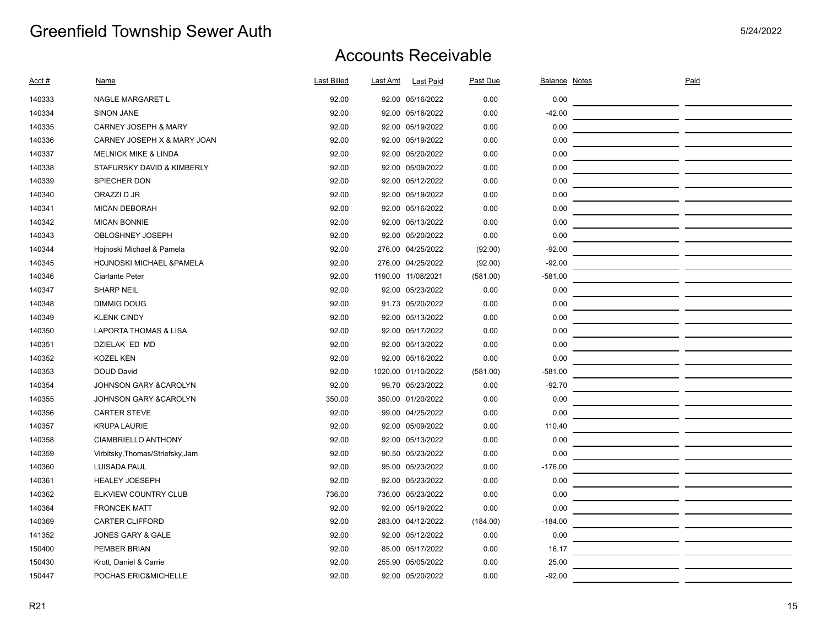| Acct # | Name                             | <b>Last Billed</b> | Last Amt | <b>Last Paid</b>   | Past Due | Balance Notes | Paid |  |
|--------|----------------------------------|--------------------|----------|--------------------|----------|---------------|------|--|
| 140333 | NAGLE MARGARET L                 | 92.00              |          | 92.00 05/16/2022   | 0.00     | 0.00          |      |  |
| 140334 | <b>SINON JANE</b>                | 92.00              |          | 92.00 05/16/2022   | 0.00     | $-42.00$      |      |  |
| 140335 | <b>CARNEY JOSEPH &amp; MARY</b>  | 92.00              |          | 92.00 05/19/2022   | 0.00     | 0.00          |      |  |
| 140336 | CARNEY JOSEPH X & MARY JOAN      | 92.00              |          | 92.00 05/19/2022   | 0.00     | 0.00          |      |  |
| 140337 | <b>MELNICK MIKE &amp; LINDA</b>  | 92.00              |          | 92.00 05/20/2022   | 0.00     | 0.00          |      |  |
| 140338 | STAFURSKY DAVID & KIMBERLY       | 92.00              |          | 92.00 05/09/2022   | 0.00     | 0.00          |      |  |
| 140339 | SPIECHER DON                     | 92.00              |          | 92.00 05/12/2022   | 0.00     | 0.00          |      |  |
| 140340 | ORAZZI D JR                      | 92.00              |          | 92.00 05/19/2022   | 0.00     | 0.00          |      |  |
| 140341 | <b>MICAN DEBORAH</b>             | 92.00              |          | 92.00 05/16/2022   | 0.00     | 0.00          |      |  |
| 140342 | MICAN BONNIE                     | 92.00              |          | 92.00 05/13/2022   | 0.00     | 0.00          |      |  |
| 140343 | OBLOSHNEY JOSEPH                 | 92.00              |          | 92.00 05/20/2022   | 0.00     | 0.00          |      |  |
| 140344 | Hojnoski Michael & Pamela        | 92.00              |          | 276.00 04/25/2022  | (92.00)  | $-92.00$      |      |  |
| 140345 | HOJNOSKI MICHAEL & PAMELA        | 92.00              |          | 276.00 04/25/2022  | (92.00)  | $-92.00$      |      |  |
| 140346 | Ciarlante Peter                  | 92.00              |          | 1190.00 11/08/2021 | (581.00) | $-581.00$     |      |  |
| 140347 | <b>SHARP NEIL</b>                | 92.00              |          | 92.00 05/23/2022   | 0.00     | 0.00          |      |  |
| 140348 | <b>DIMMIG DOUG</b>               | 92.00              |          | 91.73 05/20/2022   | 0.00     | 0.00          |      |  |
| 140349 | <b>KLENK CINDY</b>               | 92.00              |          | 92.00 05/13/2022   | 0.00     | 0.00          |      |  |
| 140350 | LAPORTA THOMAS & LISA            | 92.00              |          | 92.00 05/17/2022   | 0.00     | 0.00          |      |  |
| 140351 | DZIELAK ED MD                    | 92.00              |          | 92.00 05/13/2022   | 0.00     | 0.00          |      |  |
| 140352 | <b>KOZEL KEN</b>                 | 92.00              |          | 92.00 05/16/2022   | 0.00     | 0.00          |      |  |
| 140353 | <b>DOUD David</b>                | 92.00              |          | 1020.00 01/10/2022 | (581.00) | $-581.00$     |      |  |
| 140354 | JOHNSON GARY & CAROLYN           | 92.00              |          | 99.70 05/23/2022   | 0.00     | $-92.70$      |      |  |
| 140355 | JOHNSON GARY & CAROLYN           | 350.00             |          | 350.00 01/20/2022  | 0.00     | 0.00          |      |  |
| 140356 | <b>CARTER STEVE</b>              | 92.00              |          | 99.00 04/25/2022   | 0.00     | 0.00          |      |  |
| 140357 | <b>KRUPA LAURIE</b>              | 92.00              |          | 92.00 05/09/2022   | 0.00     | 110.40        |      |  |
| 140358 | CIAMBRIELLO ANTHONY              | 92.00              |          | 92.00 05/13/2022   | 0.00     | 0.00          |      |  |
| 140359 | Virbitsky, Thomas/Striefsky, Jam | 92.00              |          | 90.50 05/23/2022   | 0.00     | 0.00          |      |  |
| 140360 | <b>LUISADA PAUL</b>              | 92.00              |          | 95.00 05/23/2022   | 0.00     | $-176.00$     |      |  |
| 140361 | <b>HEALEY JOESEPH</b>            | 92.00              |          | 92.00 05/23/2022   | 0.00     | 0.00          |      |  |
| 140362 | ELKVIEW COUNTRY CLUB             | 736.00             |          | 736.00 05/23/2022  | 0.00     | 0.00          |      |  |
| 140364 | <b>FRONCEK MATT</b>              | 92.00              |          | 92.00 05/19/2022   | 0.00     | 0.00          |      |  |
| 140369 | <b>CARTER CLIFFORD</b>           | 92.00              |          | 283.00 04/12/2022  | (184.00) | $-184.00$     |      |  |
| 141352 | JONES GARY & GALE                | 92.00              |          | 92.00 05/12/2022   | 0.00     | 0.00          |      |  |
| 150400 | PEMBER BRIAN                     | 92.00              |          | 85.00 05/17/2022   | 0.00     | 16.17         |      |  |
| 150430 | Krott, Daniel & Carrie           | 92.00              |          | 255.90 05/05/2022  | 0.00     | 25.00         |      |  |
| 150447 | POCHAS ERIC&MICHELLE             | 92.00              |          | 92.00 05/20/2022   | 0.00     | $-92.00$      |      |  |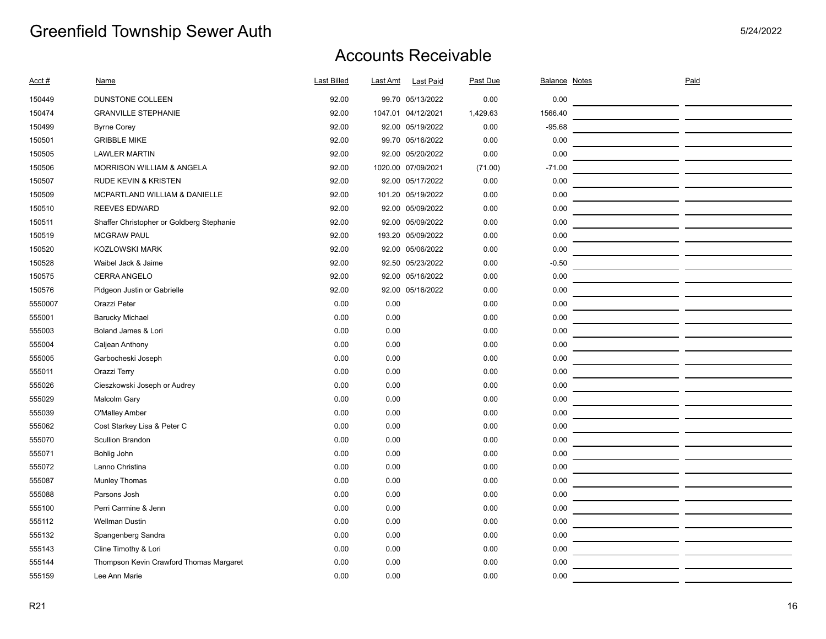| Acct #  | Name                                      | <b>Last Billed</b> | Last Amt | <b>Last Paid</b>   | Past Due | <b>Balance Notes</b> | Paid                                                                                                                   |  |
|---------|-------------------------------------------|--------------------|----------|--------------------|----------|----------------------|------------------------------------------------------------------------------------------------------------------------|--|
| 150449  | DUNSTONE COLLEEN                          | 92.00              |          | 99.70 05/13/2022   | 0.00     | 0.00                 |                                                                                                                        |  |
| 150474  | <b>GRANVILLE STEPHANIE</b>                | 92.00              |          | 1047.01 04/12/2021 | 1,429.63 | 1566.40              |                                                                                                                        |  |
| 150499  | <b>Byrne Corey</b>                        | 92.00              |          | 92.00 05/19/2022   | 0.00     | $-95.68$             |                                                                                                                        |  |
| 150501  | <b>GRIBBLE MIKE</b>                       | 92.00              |          | 99.70 05/16/2022   | 0.00     | 0.00                 |                                                                                                                        |  |
| 150505  | <b>LAWLER MARTIN</b>                      | 92.00              |          | 92.00 05/20/2022   | 0.00     | 0.00                 |                                                                                                                        |  |
| 150506  | <b>MORRISON WILLIAM &amp; ANGELA</b>      | 92.00              |          | 1020.00 07/09/2021 | (71.00)  | $-71.00$             | <u> 1989 - Johann Harry Harry Harry Harry Harry Harry Harry Harry Harry Harry Harry Harry Harry Harry Harry Harry</u>  |  |
| 150507  | RUDE KEVIN & KRISTEN                      | 92.00              |          | 92.00 05/17/2022   | 0.00     | 0.00                 | <u> 1989 - Johann Harry Barn, mars and de Branch and de Branch and de Branch and de Branch and de Branch and de B</u>  |  |
| 150509  | MCPARTLAND WILLIAM & DANIELLE             | 92.00              |          | 101.20 05/19/2022  | 0.00     | 0.00                 |                                                                                                                        |  |
| 150510  | <b>REEVES EDWARD</b>                      | 92.00              |          | 92.00 05/09/2022   | 0.00     | 0.00                 | <u> 1989 - Johann Harry Barn, mars an t-Amerikaansk kommunister (</u>                                                  |  |
| 150511  | Shaffer Christopher or Goldberg Stephanie | 92.00              |          | 92.00 05/09/2022   | 0.00     | 0.00                 |                                                                                                                        |  |
| 150519  | <b>MCGRAW PAUL</b>                        | 92.00              |          | 193.20 05/09/2022  | 0.00     | 0.00                 |                                                                                                                        |  |
| 150520  | <b>KOZLOWSKI MARK</b>                     | 92.00              |          | 92.00 05/06/2022   | 0.00     | 0.00                 |                                                                                                                        |  |
| 150528  | Waibel Jack & Jaime                       | 92.00              |          | 92.50 05/23/2022   | 0.00     | $-0.50$              | <u> 1989 - Johann Barn, mars eta inperiodo</u>                                                                         |  |
| 150575  | CERRA ANGELO                              | 92.00              |          | 92.00 05/16/2022   | 0.00     | 0.00                 | <u> 1989 - Johann Marie Barn, mars an t-Amerikaansk konstantinopler (d. 1989)</u>                                      |  |
| 150576  | Pidgeon Justin or Gabrielle               | 92.00              |          | 92.00 05/16/2022   | 0.00     | 0.00                 |                                                                                                                        |  |
| 5550007 | Orazzi Peter                              | 0.00               | 0.00     |                    | 0.00     | 0.00                 | <u> 1989 - Johann John Stone, mars eta biztanleria (</u>                                                               |  |
| 555001  | <b>Barucky Michael</b>                    | 0.00               | 0.00     |                    | 0.00     | 0.00                 | <u> 1989 - Johann John Stone, mars eta biztanleria (</u>                                                               |  |
| 555003  | Boland James & Lori                       | 0.00               | 0.00     |                    | 0.00     | 0.00                 | <u> 1989 - Johann John Stone, mars eta biztanleria (</u>                                                               |  |
| 555004  | Caljean Anthony                           | 0.00               | 0.00     |                    | 0.00     | 0.00                 | <u> 1989 - Johann Harry Barn, mars an t-Amerikaansk kommunist (</u>                                                    |  |
| 555005  | Garbocheski Joseph                        | 0.00               | 0.00     |                    | 0.00     | 0.00                 |                                                                                                                        |  |
| 555011  | Orazzi Terry                              | 0.00               | 0.00     |                    | 0.00     | 0.00                 |                                                                                                                        |  |
| 555026  | Cieszkowski Joseph or Audrey              | 0.00               | 0.00     |                    | 0.00     | 0.00                 |                                                                                                                        |  |
| 555029  | Malcolm Gary                              | 0.00               | 0.00     |                    | 0.00     | 0.00                 |                                                                                                                        |  |
| 555039  | O'Malley Amber                            | 0.00               | 0.00     |                    | 0.00     | 0.00                 |                                                                                                                        |  |
| 555062  | Cost Starkey Lisa & Peter C               | 0.00               | 0.00     |                    | 0.00     | 0.00                 | <u> 1989 - Johann John Stone, markin film yn y brenin y brenin y brenin y brenin y brenin y brenin y brenin y br</u>   |  |
| 555070  | Scullion Brandon                          | 0.00               | 0.00     |                    | 0.00     | 0.00                 | <u> 1989 - Johann John Stone, mars et al. 1989 - John Stone, mars et al. 1989 - John Stone, mars et al. 1989 - Joh</u> |  |
| 555071  | Bohlig John                               | 0.00               | 0.00     |                    | 0.00     | 0.00                 | <u> 1989 - Johann John Stone, markin film ar yn y brenin y brenin y brenin y brenin y brenin y brenin y brenin y</u>   |  |
| 555072  | Lanno Christina                           | 0.00               | 0.00     |                    | 0.00     | 0.00                 | <u> 1989 - Johann John Stone, mars eta biztanleria (h. 1989).</u>                                                      |  |
| 555087  | <b>Munley Thomas</b>                      | 0.00               | 0.00     |                    | 0.00     | 0.00                 | <u> 1989 - Johann John Stone, mars et al. (</u>                                                                        |  |
| 555088  | Parsons Josh                              | 0.00               | 0.00     |                    | 0.00     | 0.00                 |                                                                                                                        |  |
| 555100  | Perri Carmine & Jenn                      | 0.00               | 0.00     |                    | 0.00     | 0.00                 | <u> 1989 - Johann John Stein, markin film ar yn y brenin y brenin y brenin y brenin y brenin y brenin y brenin y</u>   |  |
| 555112  | <b>Wellman Dustin</b>                     | 0.00               | 0.00     |                    | 0.00     | 0.00                 | <u> 1989 - Johann John Stone, mars et al. (</u>                                                                        |  |
| 555132  | Spangenberg Sandra                        | 0.00               | 0.00     |                    | 0.00     | 0.00                 |                                                                                                                        |  |
| 555143  | Cline Timothy & Lori                      | 0.00               | 0.00     |                    | 0.00     | 0.00                 |                                                                                                                        |  |
| 555144  | Thompson Kevin Crawford Thomas Margaret   | 0.00               | 0.00     |                    | 0.00     | 0.00                 |                                                                                                                        |  |
| 555159  | Lee Ann Marie                             | 0.00               | 0.00     |                    | 0.00     | 0.00                 |                                                                                                                        |  |